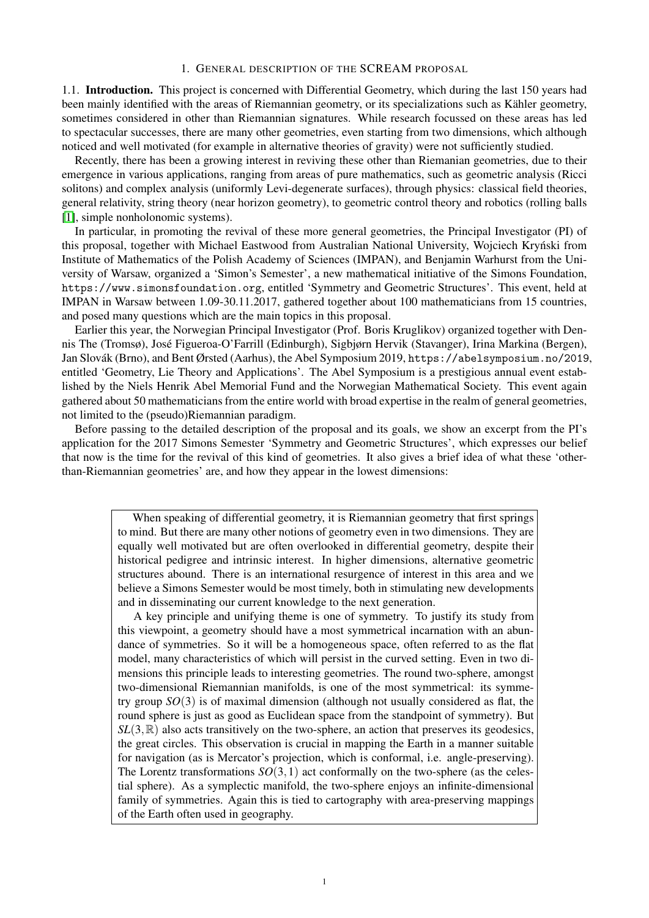# 1. GENERAL DESCRIPTION OF THE SCREAM PROPOSAL

1.1. Introduction. This project is concerned with Differential Geometry, which during the last 150 years had been mainly identified with the areas of Riemannian geometry, or its specializations such as Kähler geometry, sometimes considered in other than Riemannian signatures. While research focussed on these areas has led to spectacular successes, there are many other geometries, even starting from two dimensions, which although noticed and well motivated (for example in alternative theories of gravity) were not sufficiently studied.

Recently, there has been a growing interest in reviving these other than Riemanian geometries, due to their emergence in various applications, ranging from areas of pure mathematics, such as geometric analysis (Ricci solitons) and complex analysis (uniformly Levi-degenerate surfaces), through physics: classical field theories, general relativity, string theory (near horizon geometry), to geometric control theory and robotics (rolling balls [\[1\]](#page-15-0), simple nonholonomic systems).

In particular, in promoting the revival of these more general geometries, the Principal Investigator (PI) of this proposal, together with Michael Eastwood from Australian National University, Wojciech Kryński from Institute of Mathematics of the Polish Academy of Sciences (IMPAN), and Benjamin Warhurst from the University of Warsaw, organized a 'Simon's Semester', a new mathematical initiative of the Simons Foundation, https://www.simonsfoundation.org, entitled 'Symmetry and Geometric Structures'. This event, held at IMPAN in Warsaw between 1.09-30.11.2017, gathered together about 100 mathematicians from 15 countries, and posed many questions which are the main topics in this proposal.

Earlier this year, the Norwegian Principal Investigator (Prof. Boris Kruglikov) organized together with Dennis The (Tromsø), Jose Figueroa-O'Farrill (Edinburgh), Sigbjørn Hervik (Stavanger), Irina Markina (Bergen), ´ Jan Slovák (Brno), and Bent Ørsted (Aarhus), the Abel Symposium 2019, https://abelsymposium.no/2019, entitled 'Geometry, Lie Theory and Applications'. The Abel Symposium is a prestigious annual event established by the Niels Henrik Abel Memorial Fund and the Norwegian Mathematical Society. This event again gathered about 50 mathematicians from the entire world with broad expertise in the realm of general geometries, not limited to the (pseudo)Riemannian paradigm.

Before passing to the detailed description of the proposal and its goals, we show an excerpt from the PI's application for the 2017 Simons Semester 'Symmetry and Geometric Structures', which expresses our belief that now is the time for the revival of this kind of geometries. It also gives a brief idea of what these 'otherthan-Riemannian geometries' are, and how they appear in the lowest dimensions:

> When speaking of differential geometry, it is Riemannian geometry that first springs to mind. But there are many other notions of geometry even in two dimensions. They are equally well motivated but are often overlooked in differential geometry, despite their historical pedigree and intrinsic interest. In higher dimensions, alternative geometric structures abound. There is an international resurgence of interest in this area and we believe a Simons Semester would be most timely, both in stimulating new developments and in disseminating our current knowledge to the next generation.

> A key principle and unifying theme is one of symmetry. To justify its study from this viewpoint, a geometry should have a most symmetrical incarnation with an abundance of symmetries. So it will be a homogeneous space, often referred to as the flat model, many characteristics of which will persist in the curved setting. Even in two dimensions this principle leads to interesting geometries. The round two-sphere, amongst two-dimensional Riemannian manifolds, is one of the most symmetrical: its symmetry group *SO*(3) is of maximal dimension (although not usually considered as flat, the round sphere is just as good as Euclidean space from the standpoint of symmetry). But  $SL(3,\mathbb{R})$  also acts transitively on the two-sphere, an action that preserves its geodesics, the great circles. This observation is crucial in mapping the Earth in a manner suitable for navigation (as is Mercator's projection, which is conformal, i.e. angle-preserving). The Lorentz transformations  $SO(3,1)$  act conformally on the two-sphere (as the celestial sphere). As a symplectic manifold, the two-sphere enjoys an infinite-dimensional family of symmetries. Again this is tied to cartography with area-preserving mappings of the Earth often used in geography.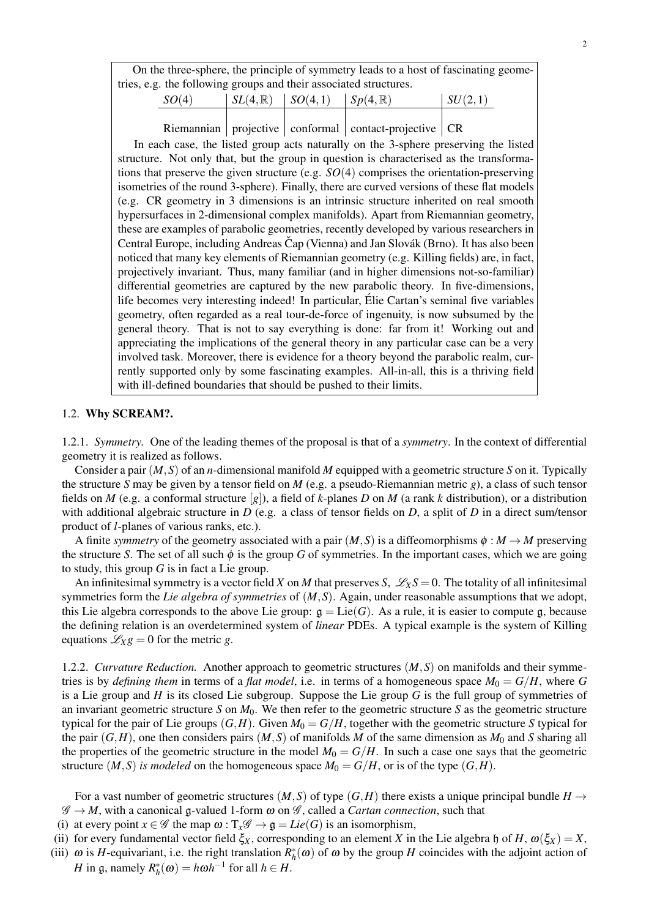On the three-sphere, the principle of symmetry leads to a host of fascinating geometries, e.g. the following groups and their associated structures.

| SO(4) | $\mid SL(4,\mathbb{R}) \mid SO(4,1) \mid Sp(4,\mathbb{R}) \mid$ | $\vert SU(2,1) \vert$ |
|-------|-----------------------------------------------------------------|-----------------------|
|       |                                                                 |                       |

Riemannian projective conformal contact-projective  $CR$ 

In each case, the listed group acts naturally on the 3-sphere preserving the listed structure. Not only that, but the group in question is characterised as the transformations that preserve the given structure (e.g. *SO*(4) comprises the orientation-preserving isometries of the round 3-sphere). Finally, there are curved versions of these flat models (e.g. CR geometry in 3 dimensions is an intrinsic structure inherited on real smooth hypersurfaces in 2-dimensional complex manifolds). Apart from Riemannian geometry, these are examples of parabolic geometries, recently developed by various researchers in Central Europe, including Andreas Čap (Vienna) and Jan Slovák (Brno). It has also been noticed that many key elements of Riemannian geometry (e.g. Killing fields) are, in fact, projectively invariant. Thus, many familiar (and in higher dimensions not-so-familiar) differential geometries are captured by the new parabolic theory. In five-dimensions, life becomes very interesting indeed! In particular, Elie Cartan's seminal five variables ´ geometry, often regarded as a real tour-de-force of ingenuity, is now subsumed by the general theory. That is not to say everything is done: far from it! Working out and appreciating the implications of the general theory in any particular case can be a very involved task. Moreover, there is evidence for a theory beyond the parabolic realm, currently supported only by some fascinating examples. All-in-all, this is a thriving field with ill-defined boundaries that should be pushed to their limits.

# 1.2. Why SCREAM?.

1.2.1. *Symmetry.* One of the leading themes of the proposal is that of a *symmetry*. In the context of differential geometry it is realized as follows.

Consider a pair (*M*,*S*) of an *n*-dimensional manifold *M* equipped with a geometric structure *S* on it. Typically the structure *S* may be given by a tensor field on *M* (e.g. a pseudo-Riemannian metric *g*), a class of such tensor fields on *M* (e.g. a conformal structure [*g*]), a field of *k*-planes *D* on *M* (a rank *k* distribution), or a distribution with additional algebraic structure in *D* (e.g. a class of tensor fields on *D*, a split of *D* in a direct sum/tensor product of *l*-planes of various ranks, etc.).

A finite *symmetry* of the geometry associated with a pair  $(M, S)$  is a diffeomorphisms  $\phi : M \to M$  preserving the structure *S*. The set of all such  $\phi$  is the group *G* of symmetries. In the important cases, which we are going to study, this group *G* is in fact a Lie group.

An infinitesimal symmetry is a vector field *X* on *M* that preserves *S*,  $\mathscr{L}_X S = 0$ . The totality of all infinitesimal symmetries form the *Lie algebra of symmetries* of (*M*,*S*). Again, under reasonable assumptions that we adopt, this Lie algebra corresponds to the above Lie group:  $\mathfrak{g} = \text{Lie}(G)$ . As a rule, it is easier to compute g, because the defining relation is an overdetermined system of *linear* PDEs. A typical example is the system of Killing equations  $\mathcal{L}_{X}g = 0$  for the metric *g*.

1.2.2. *Curvature Reduction.* Another approach to geometric structures (*M*,*S*) on manifolds and their symmetries is by *defining them* in terms of a *flat model*, i.e. in terms of a homogeneous space  $M_0 = G/H$ , where G is a Lie group and *H* is its closed Lie subgroup. Suppose the Lie group *G* is the full group of symmetries of an invariant geometric structure *S* on *M*0. We then refer to the geometric structure *S* as the geometric structure typical for the pair of Lie groups  $(G, H)$ . Given  $M_0 = G/H$ , together with the geometric structure *S* typical for the pair  $(G, H)$ , one then considers pairs  $(M, S)$  of manifolds *M* of the same dimension as  $M_0$  and *S* sharing all the properties of the geometric structure in the model  $M_0 = G/H$ . In such a case one says that the geometric structure  $(M, S)$  *is modeled* on the homogeneous space  $M_0 = G/H$ , or is of the type  $(G,H)$ .

For a vast number of geometric structures  $(M, S)$  of type  $(G, H)$  there exists a unique principal bundle  $H \rightarrow$  $\mathscr{G} \to M$ , with a canonical g-valued 1-form  $\omega$  on  $\mathscr{G}$ , called a *Cartan connection*, such that

(i) at every point  $x \in \mathscr{G}$  the map  $\omega : T_x \mathscr{G} \to \mathfrak{g} = Lie(G)$  is an isomorphism,

- (ii) for every fundamental vector field  $\xi_X$ , corresponding to an element *X* in the Lie algebra h of *H*,  $\omega(\xi_X) = X$ ,
- (iii)  $\omega$  is *H*-equivariant, i.e. the right translation  $R_h^*(\omega)$  of  $\omega$  by the group *H* coincides with the adjoint action of *H* in g, namely  $R_h^*(\omega) = h\omega h^{-1}$  for all  $h \in H$ .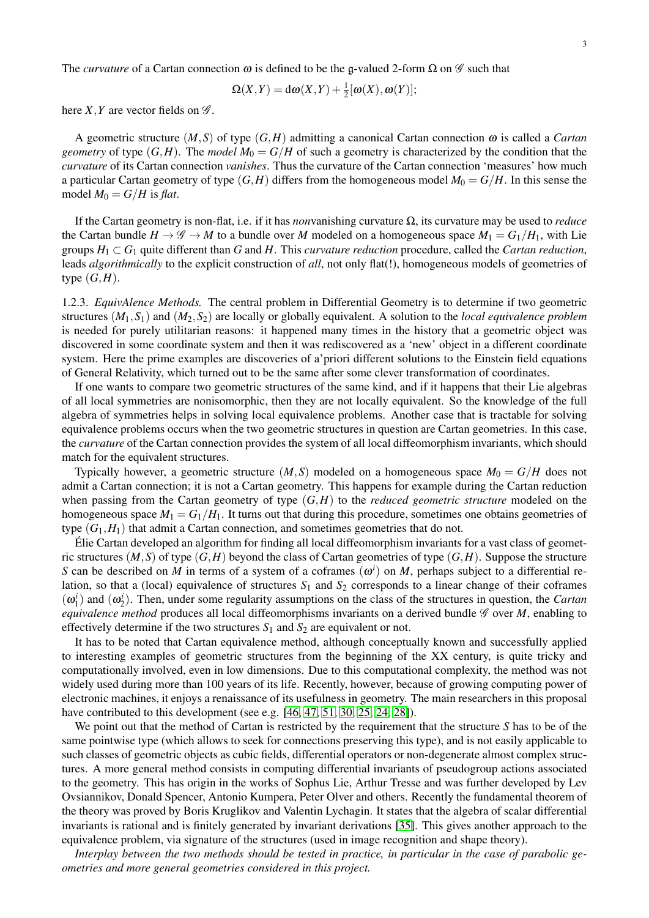The *curvature* of a Cartan connection  $\omega$  is defined to be the g-valued 2-form  $\Omega$  on  $\mathscr G$  such that

$$
\Omega(X,Y) = d\omega(X,Y) + \frac{1}{2}[\omega(X), \omega(Y)];
$$

here *X*, *Y* are vector fields on  $\mathscr{G}$ .

A geometric structure  $(M, S)$  of type  $(G, H)$  admitting a canonical Cartan connection  $\omega$  is called a *Cartan geometry* of type  $(G,H)$ . The *model*  $M_0 = G/H$  of such a geometry is characterized by the condition that the *curvature* of its Cartan connection *vanishes*. Thus the curvature of the Cartan connection 'measures' how much a particular Cartan geometry of type  $(G,H)$  differs from the homogeneous model  $M_0 = G/H$ . In this sense the model  $M_0 = G/H$  is *flat*.

If the Cartan geometry is non-flat, i.e. if it has *non*vanishing curvature Ω, its curvature may be used to *reduce* the Cartan bundle  $H \to \mathscr{G} \to M$  to a bundle over M modeled on a homogeneous space  $M_1 = G_1/H_1$ , with Lie groups  $H_1 \subset G_1$  quite different than *G* and *H*. This *curvature reduction* procedure, called the *Cartan reduction*, leads *algorithmically* to the explicit construction of *all*, not only flat(!), homogeneous models of geometries of type  $(G,H)$ .

<span id="page-2-0"></span>1.2.3. *EquivAlence Methods.* The central problem in Differential Geometry is to determine if two geometric structures (*M*1,*S*1) and (*M*2,*S*2) are locally or globally equivalent. A solution to the *local equivalence problem* is needed for purely utilitarian reasons: it happened many times in the history that a geometric object was discovered in some coordinate system and then it was rediscovered as a 'new' object in a different coordinate system. Here the prime examples are discoveries of a'priori different solutions to the Einstein field equations of General Relativity, which turned out to be the same after some clever transformation of coordinates.

If one wants to compare two geometric structures of the same kind, and if it happens that their Lie algebras of all local symmetries are nonisomorphic, then they are not locally equivalent. So the knowledge of the full algebra of symmetries helps in solving local equivalence problems. Another case that is tractable for solving equivalence problems occurs when the two geometric structures in question are Cartan geometries. In this case, the *curvature* of the Cartan connection provides the system of all local diffeomorphism invariants, which should match for the equivalent structures.

Typically however, a geometric structure  $(M, S)$  modeled on a homogeneous space  $M_0 = G/H$  does not admit a Cartan connection; it is not a Cartan geometry. This happens for example during the Cartan reduction when passing from the Cartan geometry of type (*G*,*H*) to the *reduced geometric structure* modeled on the homogeneous space  $M_1 = G_1/H_1$ . It turns out that during this procedure, sometimes one obtains geometries of type  $(G_1, H_1)$  that admit a Cartan connection, and sometimes geometries that do not.

Elie Cartan developed an algorithm for finding all local diffeomorphism invariants for a vast class of geomet- ´ ric structures  $(M, S)$  of type  $(G, H)$  beyond the class of Cartan geometries of type  $(G, H)$ . Suppose the structure *S* can be described on *M* in terms of a system of a coframes  $(\omega^i)$  on *M*, perhaps subject to a differential relation, so that a (local) equivalence of structures  $S_1$  and  $S_2$  corresponds to a linear change of their coframes  $(\omega_1^i)$  and  $(\omega_2^i)$ . Then, under some regularity assumptions on the class of the structures in question, the *Cartan equivalence method* produces all local diffeomorphisms invariants on a derived bundle  $\mathscr G$  over *M*, enabling to effectively determine if the two structures  $S_1$  and  $S_2$  are equivalent or not.

It has to be noted that Cartan equivalence method, although conceptually known and successfully applied to interesting examples of geometric structures from the beginning of the XX century, is quite tricky and computationally involved, even in low dimensions. Due to this computational complexity, the method was not widely used during more than 100 years of its life. Recently, however, because of growing computing power of electronic machines, it enjoys a renaissance of its usefulness in geometry. The main researchers in this proposal have contributed to this development (see e.g. [\[46,](#page-17-0) [47,](#page-17-1) [51,](#page-17-2) [30,](#page-16-0) [25,](#page-16-1) [24,](#page-16-2) [28\]](#page-16-3)).

We point out that the method of Cartan is restricted by the requirement that the structure *S* has to be of the same pointwise type (which allows to seek for connections preserving this type), and is not easily applicable to such classes of geometric objects as cubic fields, differential operators or non-degenerate almost complex structures. A more general method consists in computing differential invariants of pseudogroup actions associated to the geometry. This has origin in the works of Sophus Lie, Arthur Tresse and was further developed by Lev Ovsiannikov, Donald Spencer, Antonio Kumpera, Peter Olver and others. Recently the fundamental theorem of the theory was proved by Boris Kruglikov and Valentin Lychagin. It states that the algebra of scalar differential invariants is rational and is finitely generated by invariant derivations [\[35\]](#page-16-4). This gives another approach to the equivalence problem, via signature of the structures (used in image recognition and shape theory).

*Interplay between the two methods should be tested in practice, in particular in the case of parabolic geometries and more general geometries considered in this project.*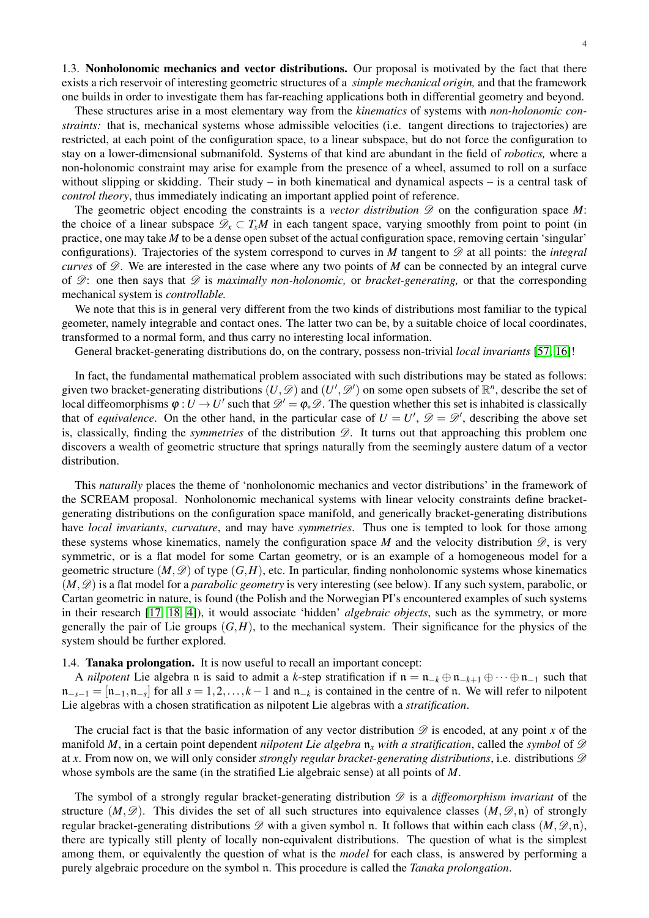1.3. Nonholonomic mechanics and vector distributions. Our proposal is motivated by the fact that there exists a rich reservoir of interesting geometric structures of a *simple mechanical origin,* and that the framework one builds in order to investigate them has far-reaching applications both in differential geometry and beyond.

These structures arise in a most elementary way from the *kinematics* of systems with *non-holonomic constraints:* that is, mechanical systems whose admissible velocities (i.e. tangent directions to trajectories) are restricted, at each point of the configuration space, to a linear subspace, but do not force the configuration to stay on a lower-dimensional submanifold. Systems of that kind are abundant in the field of *robotics,* where a non-holonomic constraint may arise for example from the presence of a wheel, assumed to roll on a surface without slipping or skidding. Their study – in both kinematical and dynamical aspects – is a central task of *control theory*, thus immediately indicating an important applied point of reference.

The geometric object encoding the constraints is a *vector distribution*  $\mathscr D$  on the configuration space *M*: the choice of a linear subspace  $\mathcal{D}_x \subset T_xM$  in each tangent space, varying smoothly from point to point (in practice, one may take *M* to be a dense open subset of the actual configuration space, removing certain 'singular' configurations). Trajectories of the system correspond to curves in *M* tangent to  $\mathscr D$  at all points: the *integral curves* of  $\mathscr{D}$ . We are interested in the case where any two points of *M* can be connected by an integral curve of D: one then says that D is *maximally non-holonomic,* or *bracket-generating,* or that the corresponding mechanical system is *controllable.*

We note that this is in general very different from the two kinds of distributions most familiar to the typical geometer, namely integrable and contact ones. The latter two can be, by a suitable choice of local coordinates, transformed to a normal form, and thus carry no interesting local information.

General bracket-generating distributions do, on the contrary, possess non-trivial *local invariants* [\[57,](#page-17-3) [16\]](#page-16-5)!

In fact, the fundamental mathematical problem associated with such distributions may be stated as follows: given two bracket-generating distributions  $(U, \mathcal{D})$  and  $(U', \mathcal{D}')$  on some open subsets of  $\mathbb{R}^n$ , describe the set of local diffeomorphisms  $\varphi: U \to U'$  such that  $\mathscr{D}' = \varphi_* \mathscr{D}$ . The question whether this set is inhabited is classically that of *equivalence*. On the other hand, in the particular case of  $U = U'$ ,  $\mathscr{D} = \mathscr{D}'$ , describing the above set is, classically, finding the *symmetries* of the distribution  $\mathscr{D}$ . It turns out that approaching this problem one discovers a wealth of geometric structure that springs naturally from the seemingly austere datum of a vector distribution.

This *naturally* places the theme of 'nonholonomic mechanics and vector distributions' in the framework of the SCREAM proposal. Nonholonomic mechanical systems with linear velocity constraints define bracketgenerating distributions on the configuration space manifold, and generically bracket-generating distributions have *local invariants*, *curvature*, and may have *symmetries*. Thus one is tempted to look for those among these systems whose kinematics, namely the configuration space  $M$  and the velocity distribution  $\mathscr{D}$ , is very symmetric, or is a flat model for some Cartan geometry, or is an example of a homogeneous model for a geometric structure  $(M, \mathscr{D})$  of type  $(G, H)$ , etc. In particular, finding nonholonomic systems whose kinematics  $(M, \mathscr{D})$  is a flat model for a *parabolic geometry* is very interesting (see below). If any such system, parabolic, or Cartan geometric in nature, is found (the Polish and the Norwegian PI's encountered examples of such systems in their research [\[17,](#page-16-6) [18,](#page-16-7) [4\]](#page-15-1)), it would associate 'hidden' *algebraic objects*, such as the symmetry, or more generally the pair of Lie groups  $(G,H)$ , to the mechanical system. Their significance for the physics of the system should be further explored.

#### 1.4. Tanaka prolongation. It is now useful to recall an important concept:

A *nilpotent* Lie algebra n is said to admit a *k*-step stratification if  $n = n_{-k} \oplus n_{-k+1} \oplus \cdots \oplus n_{-1}$  such that  $\mathfrak{n}_{-s-1} = [\mathfrak{n}_{-1}, \mathfrak{n}_{-s}]$  for all  $s = 1, 2, \ldots, k-1$  and  $\mathfrak{n}_{-k}$  is contained in the centre of  $\mathfrak{n}$ . We will refer to nilpotent Lie algebras with a chosen stratification as nilpotent Lie algebras with a *stratification*.

The crucial fact is that the basic information of any vector distribution  $\mathscr D$  is encoded, at any point *x* of the manifold *M*, in a certain point dependent *nilpotent Lie algebra*  $n_x$  *with a stratification*, called the *symbol* of  $\mathscr D$ at x. From now on, we will only consider *strongly regular bracket-generating distributions*, i.e. distributions  $\mathscr{D}$ whose symbols are the same (in the stratified Lie algebraic sense) at all points of *M*.

The symbol of a strongly regular bracket-generating distribution  $\mathscr D$  is a *diffeomorphism invariant* of the structure  $(M, \mathscr{D})$ . This divides the set of all such structures into equivalence classes  $(M, \mathscr{D}, \mathfrak{n})$  of strongly regular bracket-generating distributions  $\mathscr D$  with a given symbol n. It follows that within each class  $(M, \mathscr D, n)$ , there are typically still plenty of locally non-equivalent distributions. The question of what is the simplest among them, or equivalently the question of what is the *model* for each class, is answered by performing a purely algebraic procedure on the symbol n. This procedure is called the *Tanaka prolongation*.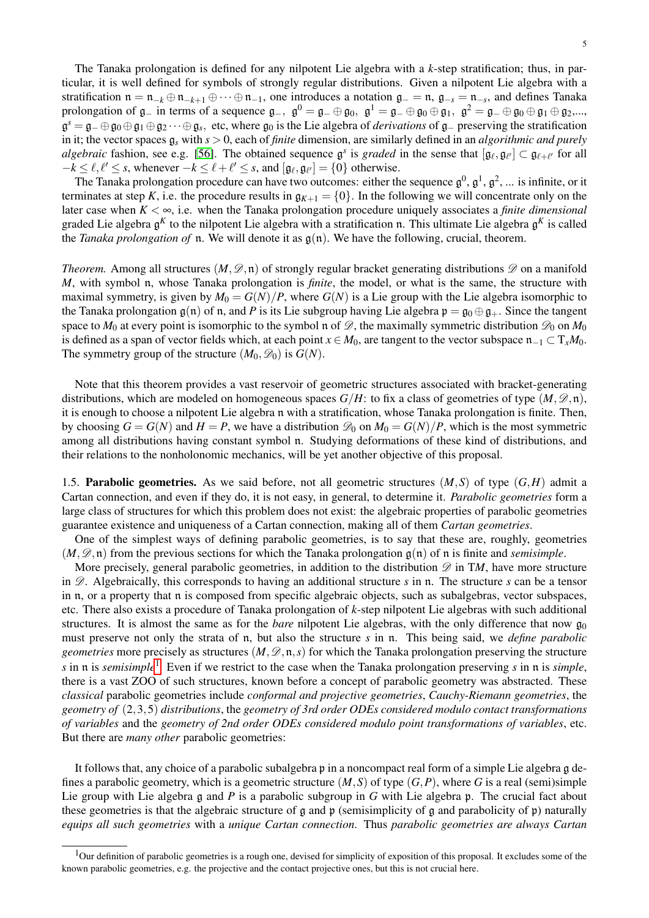The Tanaka prolongation is defined for any nilpotent Lie algebra with a *k*-step stratification; thus, in particular, it is well defined for symbols of strongly regular distributions. Given a nilpotent Lie algebra with a stratification  $n = n_{-k} \oplus n_{-k+1} \oplus \cdots \oplus n_{-1}$ , one introduces a notation  $\mathfrak{g}_- = n$ ,  $\mathfrak{g}_{-s} = n_{-s}$ , and defines Tanaka prolongation of  $\mathfrak{g}_-$  in terms of a sequence  $\mathfrak{g}_-$ ,  $\mathfrak{g}^0 = \mathfrak{g}_- \oplus \mathfrak{g}_0$ ,  $\mathfrak{g}^1 = \mathfrak{g}_- \oplus \mathfrak{g}_0 \oplus \mathfrak{g}_1$ ,  $\mathfrak{g}^2 = \mathfrak{g}_- \oplus \mathfrak{g}_0 \oplus \mathfrak{g}_1 \oplus \mathfrak{g}_2$ ,..., g *<sup>s</sup>* = g<sup>−</sup> ⊕g<sup>0</sup> ⊕g<sup>1</sup> ⊕g<sup>2</sup> ···⊕g*<sup>s</sup>* , etc, where g<sup>0</sup> is the Lie algebra of *derivations* of g<sup>−</sup> preserving the stratification in it; the vector spaces g*<sup>s</sup>* with *s* > 0, each of *finite* dimension, are similarly defined in an *algorithmic and purely algebraic* fashion, see e.g. [\[56\]](#page-17-4). The obtained sequence  $\mathfrak{g}^s$  is *graded* in the sense that  $[\mathfrak{g}_\ell, \mathfrak{g}_{\ell'}] \subset \mathfrak{g}_{\ell+\ell'}$  for all  $-k \leq \ell, \ell' \leq s$ , whenever  $-k \leq \ell + \ell' \leq s$ , and  $[\mathfrak{g}_{\ell}, \mathfrak{g}_{\ell'}] = \{0\}$  otherwise.

The Tanaka prolongation procedure can have two outcomes: either the sequence  $\mathfrak{g}^0$ ,  $\mathfrak{g}^1$ ,  $\mathfrak{g}^2$ , ... is infinite, or it terminates at step *K*, i.e. the procedure results in  $g_{K+1} = \{0\}$ . In the following we will concentrate only on the later case when *K* < ∞, i.e. when the Tanaka prolongation procedure uniquely associates a *finite dimensional* graded Lie algebra g *<sup>K</sup>* to the nilpotent Lie algebra with a stratification n. This ultimate Lie algebra g *<sup>K</sup>* is called the *Tanaka prolongation of* n. We will denote it as  $g(n)$ . We have the following, crucial, theorem.

*Theorem.* Among all structures  $(M, \mathscr{D}, n)$  of strongly regular bracket generating distributions  $\mathscr{D}$  on a manifold *M*, with symbol n, whose Tanaka prolongation is *finite*, the model, or what is the same, the structure with maximal symmetry, is given by  $M_0 = G(N)/P$ , where  $G(N)$  is a Lie group with the Lie algebra isomorphic to the Tanaka prolongation  $g(n)$  of n, and *P* is its Lie subgroup having Lie algebra  $p = g_0 \oplus g_+$ . Since the tangent space to  $M_0$  at every point is isomorphic to the symbol n of  $\mathscr{D}$ , the maximally symmetric distribution  $\mathscr{D}_0$  on  $M_0$ is defined as a span of vector fields which, at each point  $x \in M_0$ , are tangent to the vector subspace  $n_{-1} \subset T_xM_0$ . The symmetry group of the structure  $(M_0, \mathcal{D}_0)$  is  $G(N)$ .

Note that this theorem provides a vast reservoir of geometric structures associated with bracket-generating distributions, which are modeled on homogeneous spaces  $G/H$ : to fix a class of geometries of type  $(M, \mathscr{D}, \mathfrak{n})$ , it is enough to choose a nilpotent Lie algebra n with a stratification, whose Tanaka prolongation is finite. Then, by choosing  $G = G(N)$  and  $H = P$ , we have a distribution  $\mathcal{D}_0$  on  $M_0 = G(N)/P$ , which is the most symmetric among all distributions having constant symbol n. Studying deformations of these kind of distributions, and their relations to the nonholonomic mechanics, will be yet another objective of this proposal.

1.5. Parabolic geometries. As we said before, not all geometric structures (*M*,*S*) of type (*G*,*H*) admit a Cartan connection, and even if they do, it is not easy, in general, to determine it. *Parabolic geometries* form a large class of structures for which this problem does not exist: the algebraic properties of parabolic geometries guarantee existence and uniqueness of a Cartan connection, making all of them *Cartan geometries*.

One of the simplest ways of defining parabolic geometries, is to say that these are, roughly, geometries  $(M, \mathscr{D}, \mathfrak{n})$  from the previous sections for which the Tanaka prolongation  $\mathfrak{g}(\mathfrak{n})$  of  $\mathfrak{n}$  is finite and *semisimple*.

More precisely, general parabolic geometries, in addition to the distribution  $\mathscr D$  in TM, have more structure in  $\mathscr{D}$ . Algebraically, this corresponds to having an additional structure *s* in n. The structure *s* can be a tensor in n, or a property that n is composed from specific algebraic objects, such as subalgebras, vector subspaces, etc. There also exists a procedure of Tanaka prolongation of *k*-step nilpotent Lie algebras with such additional structures. It is almost the same as for the *bare* nilpotent Lie algebras, with the only difference that now  $\mathfrak{g}_0$ must preserve not only the strata of n, but also the structure *s* in n. This being said, we *define parabolic geometries* more precisely as structures  $(M, \mathcal{D}, \mathfrak{n}, s)$  for which the Tanaka prolongation preserving the structure *s* in n is *semisimple*[1](#page-4-0) . Even if we restrict to the case when the Tanaka prolongation preserving *s* in n is *simple*, there is a vast ZOO of such structures, known before a concept of parabolic geometry was abstracted. These *classical* parabolic geometries include *conformal and projective geometries*, *Cauchy-Riemann geometries*, the *geometry of* (2,3,5) *distributions*, the *geometry of 3rd order ODEs considered modulo contact transformations of variables* and the *geometry of 2nd order ODEs considered modulo point transformations of variables*, etc. But there are *many other* parabolic geometries:

It follows that, any choice of a parabolic subalgebra p in a noncompact real form of a simple Lie algebra g defines a parabolic geometry, which is a geometric structure  $(M, S)$  of type  $(G, P)$ , where *G* is a real (semi)simple Lie group with Lie algebra g and *P* is a parabolic subgroup in *G* with Lie algebra p. The crucial fact about these geometries is that the algebraic structure of  $\beta$  and  $\beta$  (semisimplicity of  $\beta$  and parabolicity of  $\beta$ ) naturally *equips all such geometries* with a *unique Cartan connection*. Thus *parabolic geometries are always Cartan*

<span id="page-4-0"></span> $<sup>1</sup>$ Our definition of parabolic geometries is a rough one, devised for simplicity of exposition of this proposal. It excludes some of the</sup> known parabolic geometries, e.g. the projective and the contact projective ones, but this is not crucial here.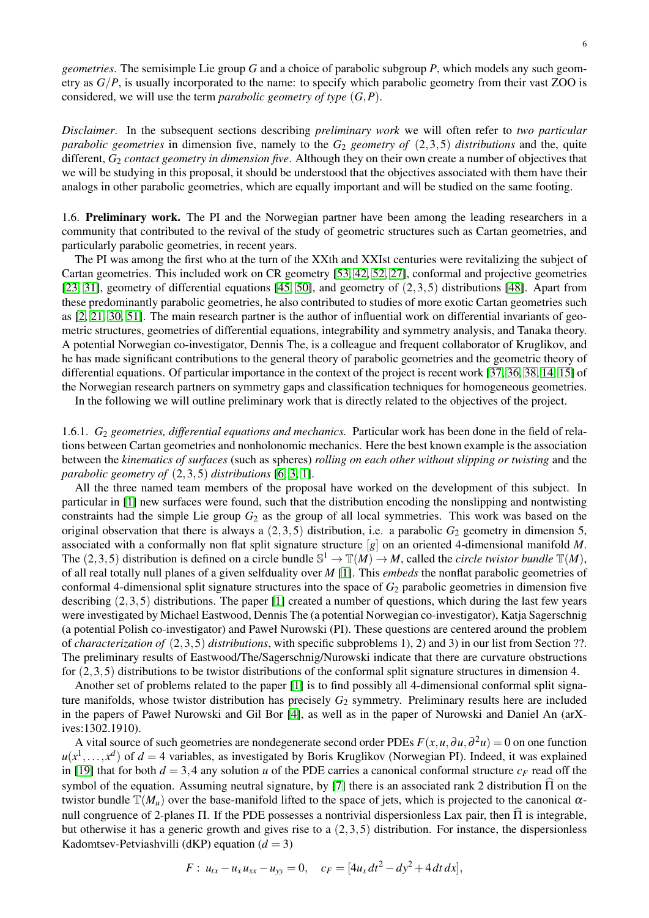*geometries*. The semisimple Lie group *G* and a choice of parabolic subgroup *P*, which models any such geometry as *G*/*P*, is usually incorporated to the name: to specify which parabolic geometry from their vast ZOO is considered, we will use the term *parabolic geometry of type* (*G*,*P*).

*Disclaimer*. In the subsequent sections describing *preliminary work* we will often refer to *two particular parabolic geometries* in dimension five, namely to the *G*<sup>2</sup> *geometry of* (2,3,5) *distributions* and the, quite different, *G*<sup>2</sup> *contact geometry in dimension five*. Although they on their own create a number of objectives that we will be studying in this proposal, it should be understood that the objectives associated with them have their analogs in other parabolic geometries, which are equally important and will be studied on the same footing.

1.6. Preliminary work. The PI and the Norwegian partner have been among the leading researchers in a community that contributed to the revival of the study of geometric structures such as Cartan geometries, and particularly parabolic geometries, in recent years.

The PI was among the first who at the turn of the XXth and XXIst centuries were revitalizing the subject of Cartan geometries. This included work on CR geometry [\[53,](#page-17-5) [42,](#page-16-8) [52,](#page-17-6) [27\]](#page-16-9), conformal and projective geometries [\[23,](#page-16-10) [31\]](#page-16-11), geometry of differential equations [\[45,](#page-17-7) [50\]](#page-17-8), and geometry of  $(2,3,5)$  distributions [\[48\]](#page-17-9). Apart from these predominantly parabolic geometries, he also contributed to studies of more exotic Cartan geometries such as [\[2,](#page-15-2) [21,](#page-16-12) [30,](#page-16-0) [51\]](#page-17-2). The main research partner is the author of influential work on differential invariants of geometric structures, geometries of differential equations, integrability and symmetry analysis, and Tanaka theory. A potential Norwegian co-investigator, Dennis The, is a colleague and frequent collaborator of Kruglikov, and he has made significant contributions to the general theory of parabolic geometries and the geometric theory of differential equations. Of particular importance in the context of the project is recent work [\[37,](#page-16-13) [36,](#page-16-14) [38,](#page-16-15) [14,](#page-16-16) [15\]](#page-16-17) of the Norwegian research partners on symmetry gaps and classification techniques for homogeneous geometries.

In the following we will outline preliminary work that is directly related to the objectives of the project.

<span id="page-5-0"></span>1.6.1. *G*<sup>2</sup> *geometries, differential equations and mechanics.* Particular work has been done in the field of relations between Cartan geometries and nonholonomic mechanics. Here the best known example is the association between the *kinematics of surfaces* (such as spheres) *rolling on each other without slipping or twisting* and the *parabolic geometry of* (2,3,5) *distributions* [\[6,](#page-15-3) [3,](#page-15-4) [1\]](#page-15-0).

All the three named team members of the proposal have worked on the development of this subject. In particular in [\[1\]](#page-15-0) new surfaces were found, such that the distribution encoding the nonslipping and nontwisting constraints had the simple Lie group *G*<sup>2</sup> as the group of all local symmetries. This work was based on the original observation that there is always a  $(2,3,5)$  distribution, i.e. a parabolic  $G_2$  geometry in dimension 5, associated with a conformally non flat split signature structure [*g*] on an oriented 4-dimensional manifold *M*. The  $(2,3,5)$  distribution is defined on a circle bundle  $\mathbb{S}^1 \to \mathbb{T}(M) \to M$ , called the *circle twistor bundle*  $\mathbb{T}(M)$ , of all real totally null planes of a given selfduality over *M* [\[1\]](#page-15-0). This *embeds* the nonflat parabolic geometries of conformal 4-dimensional split signature structures into the space of *G*<sup>2</sup> parabolic geometries in dimension five describing (2,3,5) distributions. The paper [\[1\]](#page-15-0) created a number of questions, which during the last few years were investigated by Michael Eastwood, Dennis The (a potential Norwegian co-investigator), Katja Sagerschnig (a potential Polish co-investigator) and Paweł Nurowski (PI). These questions are centered around the problem of *characterization of* (2,3,5) *distributions*, with specific subproblems 1), 2) and 3) in our list from Section ??. The preliminary results of Eastwood/The/Sagerschnig/Nurowski indicate that there are curvature obstructions for  $(2,3,5)$  distributions to be twistor distributions of the conformal split signature structures in dimension 4.

Another set of problems related to the paper [\[1\]](#page-15-0) is to find possibly all 4-dimensional conformal split signature manifolds, whose twistor distribution has precisely  $G_2$  symmetry. Preliminary results here are included in the papers of Paweł Nurowski and Gil Bor [\[4\]](#page-15-1), as well as in the paper of Nurowski and Daniel An (arXives:1302.1910).

A vital source of such geometries are nondegenerate second order PDEs  $F(x, u, \partial u, \partial^2 u) = 0$  on one function  $u(x^1, \ldots, x^d)$  of  $d = 4$  variables, as investigated by Boris Kruglikov (Norwegian PI). Indeed, it was explained in [\[19\]](#page-16-18) that for both  $d = 3,4$  any solution *u* of the PDE carries a canonical conformal structure  $c_F$  read off the symbol of the equation. Assuming neutral signature, by [\[7\]](#page-15-5) there is an associated rank 2 distribution  $\Pi$  on the twistor bundle  $\mathbb{T}(M_u)$  over the base-manifold lifted to the space of jets, which is projected to the canonical  $\alpha$ null congruence of 2-planes Π. If the PDE possesses a nontrivial dispersionless Lax pair, then  $\hat{\Pi}$  is integrable, but otherwise it has a generic growth and gives rise to a (2,3,5) distribution. For instance, the dispersionless Kadomtsev-Petviashvilli (dKP) equation  $(d = 3)$ 

$$
F: u_{tx} - u_x u_{xx} - u_{yy} = 0, \quad c_F = [4u_x dt^2 - dy^2 + 4 dt dx],
$$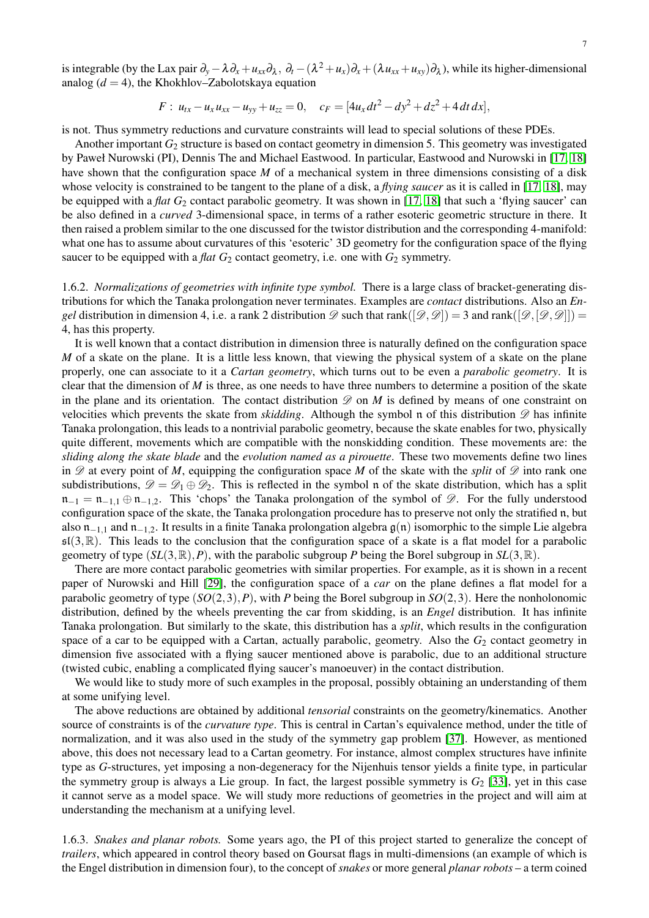is integrable (by the Lax pair  $\partial_y - \lambda \partial_x + u_{xx}\partial_\lambda$ ,  $\partial_t -(\lambda^2 + u_x)\partial_x + (\lambda u_{xx} + u_{xy})\partial_\lambda$ ), while its higher-dimensional analog  $(d = 4)$ , the Khokhlov–Zabolotskaya equation

$$
F: u_{tx} - u_x u_{xx} - u_{yy} + u_{zz} = 0, \quad c_F = [4u_x dt^2 - dy^2 + dz^2 + 4 dt dx],
$$

is not. Thus symmetry reductions and curvature constraints will lead to special solutions of these PDEs.

Another important *G*<sup>2</sup> structure is based on contact geometry in dimension 5. This geometry was investigated by Paweł Nurowski (PI), Dennis The and Michael Eastwood. In particular, Eastwood and Nurowski in [\[17,](#page-16-6) [18\]](#page-16-7) have shown that the configuration space *M* of a mechanical system in three dimensions consisting of a disk whose velocity is constrained to be tangent to the plane of a disk, a *flying saucer* as it is called in [\[17,](#page-16-6) [18\]](#page-16-7), may be equipped with a *flat G*<sub>2</sub> contact parabolic geometry. It was shown in [\[17,](#page-16-6) [18\]](#page-16-7) that such a 'flying saucer' can be also defined in a *curved* 3-dimensional space, in terms of a rather esoteric geometric structure in there. It then raised a problem similar to the one discussed for the twistor distribution and the corresponding 4-manifold: what one has to assume about curvatures of this 'esoteric' 3D geometry for the configuration space of the flying saucer to be equipped with a *flat*  $G_2$  contact geometry, i.e. one with  $G_2$  symmetry.

<span id="page-6-0"></span>1.6.2. *Normalizations of geometries with infinite type symbol.* There is a large class of bracket-generating distributions for which the Tanaka prolongation never terminates. Examples are *contact* distributions. Also an *Engel* distribution in dimension 4, i.e. a rank 2 distribution  $\mathscr{D}$  such that rank( $[\mathscr{D}, \mathscr{D}]$ ) = 3 and rank( $[\mathscr{D}, [\mathscr{D}, \mathscr{D}]$ )) = 4, has this property.

It is well known that a contact distribution in dimension three is naturally defined on the configuration space *M* of a skate on the plane. It is a little less known, that viewing the physical system of a skate on the plane properly, one can associate to it a *Cartan geometry*, which turns out to be even a *parabolic geometry*. It is clear that the dimension of *M* is three, as one needs to have three numbers to determine a position of the skate in the plane and its orientation. The contact distribution  $\mathscr{D}$  on *M* is defined by means of one constraint on velocities which prevents the skate from *skidding*. Although the symbol n of this distribution  $\mathscr D$  has infinite Tanaka prolongation, this leads to a nontrivial parabolic geometry, because the skate enables for two, physically quite different, movements which are compatible with the nonskidding condition. These movements are: the *sliding along the skate blade* and the *evolution named as a pirouette*. These two movements define two lines in  $\mathscr D$  at every point of *M*, equipping the configuration space *M* of the skate with the *split* of  $\mathscr D$  into rank one subdistributions,  $\mathscr{D} = \mathscr{D}_1 \oplus \mathscr{D}_2$ . This is reflected in the symbol n of the skate distribution, which has a split  $n_{-1} = n_{-1,1} \oplus n_{-1,2}$ . This 'chops' the Tanaka prolongation of the symbol of  $\mathscr{D}$ . For the fully understood configuration space of the skate, the Tanaka prolongation procedure has to preserve not only the stratified n, but also  $n_{-1,1}$  and  $n_{-1,2}$ . It results in a finite Tanaka prolongation algebra  $g(n)$  isomorphic to the simple Lie algebra  $\mathfrak{sl}(3,\mathbb{R})$ . This leads to the conclusion that the configuration space of a skate is a flat model for a parabolic geometry of type  $(SL(3,\mathbb{R}),P)$ , with the parabolic subgroup *P* being the Borel subgroup in  $SL(3,\mathbb{R})$ .

There are more contact parabolic geometries with similar properties. For example, as it is shown in a recent paper of Nurowski and Hill [\[29\]](#page-16-19), the configuration space of a *car* on the plane defines a flat model for a parabolic geometry of type (*SO*(2,3),*P*), with *P* being the Borel subgroup in *SO*(2,3). Here the nonholonomic distribution, defined by the wheels preventing the car from skidding, is an *Engel* distribution. It has infinite Tanaka prolongation. But similarly to the skate, this distribution has a *split*, which results in the configuration space of a car to be equipped with a Cartan, actually parabolic, geometry. Also the  $G_2$  contact geometry in dimension five associated with a flying saucer mentioned above is parabolic, due to an additional structure (twisted cubic, enabling a complicated flying saucer's manoeuver) in the contact distribution.

We would like to study more of such examples in the proposal, possibly obtaining an understanding of them at some unifying level.

The above reductions are obtained by additional *tensorial* constraints on the geometry/kinematics. Another source of constraints is of the *curvature type*. This is central in Cartan's equivalence method, under the title of normalization, and it was also used in the study of the symmetry gap problem [\[37\]](#page-16-13). However, as mentioned above, this does not necessary lead to a Cartan geometry. For instance, almost complex structures have infinite type as *G*-structures, yet imposing a non-degeneracy for the Nijenhuis tensor yields a finite type, in particular the symmetry group is always a Lie group. In fact, the largest possible symmetry is *G*<sup>2</sup> [\[33\]](#page-16-20), yet in this case it cannot serve as a model space. We will study more reductions of geometries in the project and will aim at understanding the mechanism at a unifying level.

<span id="page-6-1"></span>1.6.3. *Snakes and planar robots.* Some years ago, the PI of this project started to generalize the concept of *trailers*, which appeared in control theory based on Goursat flags in multi-dimensions (an example of which is the Engel distribution in dimension four), to the concept of *snakes* or more general *planar robots* – a term coined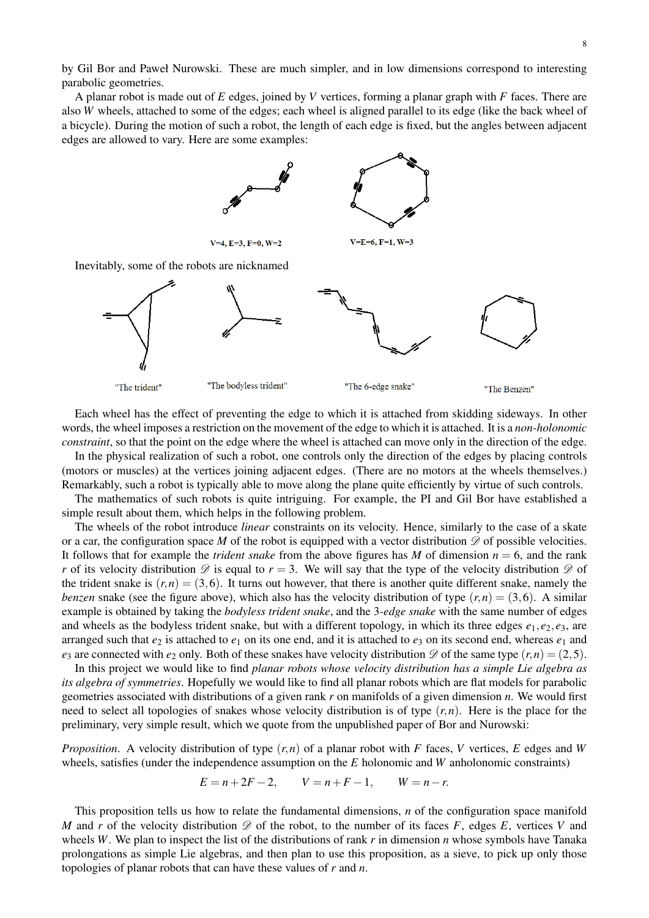by Gil Bor and Paweł Nurowski. These are much simpler, and in low dimensions correspond to interesting parabolic geometries.

A planar robot is made out of *E* edges, joined by *V* vertices, forming a planar graph with *F* faces. There are also *W* wheels, attached to some of the edges; each wheel is aligned parallel to its edge (like the back wheel of a bicycle). During the motion of such a robot, the length of each edge is fixed, but the angles between adjacent edges are allowed to vary. Here are some examples:



Each wheel has the effect of preventing the edge to which it is attached from skidding sideways. In other words, the wheel imposes a restriction on the movement of the edge to which it is attached. It is a *non-holonomic constraint*, so that the point on the edge where the wheel is attached can move only in the direction of the edge.

In the physical realization of such a robot, one controls only the direction of the edges by placing controls (motors or muscles) at the vertices joining adjacent edges. (There are no motors at the wheels themselves.) Remarkably, such a robot is typically able to move along the plane quite efficiently by virtue of such controls.

The mathematics of such robots is quite intriguing. For example, the PI and Gil Bor have established a simple result about them, which helps in the following problem.

The wheels of the robot introduce *linear* constraints on its velocity. Hence, similarly to the case of a skate or a car, the configuration space *M* of the robot is equipped with a vector distribution  $\mathscr{D}$  of possible velocities. It follows that for example the *trident snake* from the above figures has *M* of dimension  $n = 6$ , and the rank *r* of its velocity distribution  $\mathscr D$  is equal to  $r = 3$ . We will say that the type of the velocity distribution  $\mathscr D$  of the trident snake is  $(r, n) = (3, 6)$ . It turns out however, that there is another quite different snake, namely the *benzen* snake (see the figure above), which also has the velocity distribution of type  $(r, n) = (3, 6)$ . A similar example is obtained by taking the *bodyless trident snake*, and the 3*-edge snake* with the same number of edges and wheels as the bodyless trident snake, but with a different topology, in which its three edges  $e_1, e_2, e_3$ , are arranged such that  $e_2$  is attached to  $e_1$  on its one end, and it is attached to  $e_3$  on its second end, whereas  $e_1$  and *e*<sub>3</sub> are connected with *e*<sub>2</sub> only. Both of these snakes have velocity distribution  $\mathscr D$  of the same type  $(r, n) = (2, 5)$ .

In this project we would like to find *planar robots whose velocity distribution has a simple Lie algebra as its algebra of symmetries*. Hopefully we would like to find all planar robots which are flat models for parabolic geometries associated with distributions of a given rank *r* on manifolds of a given dimension *n*. We would first need to select all topologies of snakes whose velocity distribution is of type (*r*,*n*). Here is the place for the preliminary, very simple result, which we quote from the unpublished paper of Bor and Nurowski:

*Proposition*. A velocity distribution of type (*r*,*n*) of a planar robot with *F* faces, *V* vertices, *E* edges and *W* wheels, satisfies (under the independence assumption on the *E* holonomic and *W* anholonomic constraints)

 $E = n + 2F - 2$ ,  $V = n + F - 1$ ,  $W = n - r$ .

This proposition tells us how to relate the fundamental dimensions, *n* of the configuration space manifold *M* and *r* of the velocity distribution  $\mathscr{D}$  of the robot, to the number of its faces *F*, edges *E*, vertices *V* and wheels *W*. We plan to inspect the list of the distributions of rank *r* in dimension *n* whose symbols have Tanaka prolongations as simple Lie algebras, and then plan to use this proposition, as a sieve, to pick up only those topologies of planar robots that can have these values of *r* and *n*.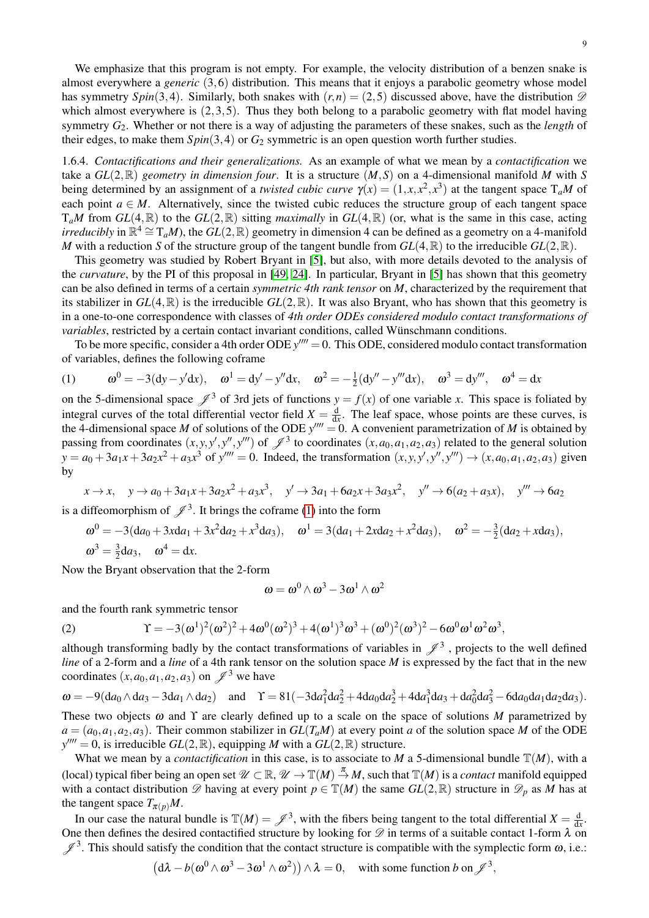9

We emphasize that this program is not empty. For example, the velocity distribution of a benzen snake is almost everywhere a *generic* (3,6) distribution. This means that it enjoys a parabolic geometry whose model has symmetry *Spin*(3,4). Similarly, both snakes with  $(r, n) = (2, 5)$  discussed above, have the distribution  $\mathscr{D}$ which almost everywhere is  $(2,3,5)$ . Thus they both belong to a parabolic geometry with flat model having symmetry *G*2. Whether or not there is a way of adjusting the parameters of these snakes, such as the *length* of their edges, to make them  $Spin(3,4)$  or  $G_2$  symmetric is an open question worth further studies.

<span id="page-8-2"></span>1.6.4. *Contactifications and their generalizations.* As an example of what we mean by a *contactification* we take a  $GL(2,\mathbb{R})$  *geometry in dimension four.* It is a structure  $(M,S)$  on a 4-dimensional manifold M with S being determined by an assignment of a *twisted cubic curve*  $\gamma(x) = (1, x, x^2, x^3)$  at the tangent space  $T_aM$  of each point  $a \in M$ . Alternatively, since the twisted cubic reduces the structure group of each tangent space  $T_aM$  from  $GL(4,\mathbb{R})$  to the  $GL(2,\mathbb{R})$  sitting *maximally* in  $GL(4,\mathbb{R})$  (or, what is the same in this case, acting *irreducibly* in  $\mathbb{R}^4 \cong T_aM$ , the  $GL(2,\mathbb{R})$  geometry in dimension 4 can be defined as a geometry on a 4-manifold *M* with a reduction *S* of the structure group of the tangent bundle from  $GL(4,\mathbb{R})$  to the irreducible  $GL(2,\mathbb{R})$ .

This geometry was studied by Robert Bryant in [\[5\]](#page-15-6), but also, with more details devoted to the analysis of the *curvature*, by the PI of this proposal in [\[49,](#page-17-10) [24\]](#page-16-2). In particular, Bryant in [\[5\]](#page-15-6) has shown that this geometry can be also defined in terms of a certain *symmetric 4th rank tensor* on *M*, characterized by the requirement that its stabilizer in  $GL(4,\mathbb{R})$  is the irreducible  $GL(2,\mathbb{R})$ . It was also Bryant, who has shown that this geometry is in a one-to-one correspondence with classes of *4th order ODEs considered modulo contact transformations of variables*, restricted by a certain contact invariant conditions, called Wünschmann conditions.

To be more specific, consider a 4th order ODE  $y^{\prime\prime\prime\prime} = 0$ . This ODE, considered modulo contact transformation of variables, defines the following coframe

<span id="page-8-0"></span>(1) 
$$
\omega^0 = -3(dy - y'dx), \quad \omega^1 = dy' - y''dx, \quad \omega^2 = -\frac{1}{2}(dy'' - y'''dx), \quad \omega^3 = dy''', \quad \omega^4 = dx
$$

on the 5-dimensional space  $\mathscr{J}^3$  of 3rd jets of functions  $y = f(x)$  of one variable *x*. This space is foliated by integral curves of the total differential vector field  $X = \frac{d}{dx}$ . The leaf space, whose points are these curves, is the 4-dimensional space *M* of solutions of the ODE  $y^{\prime\prime\prime\prime} = 0$ . A convenient parametrization of *M* is obtained by passing from coordinates  $(x, y, y', y'', y''')$  of  $\mathscr{J}^3$  to coordinates  $(x, a_0, a_1, a_2, a_3)$  related to the general solution  $y = a_0 + 3a_1x + 3a_2x^2 + a_3x^3$  of  $y'''' = 0$ . Indeed, the transformation  $(x, y, y', y'', y''') \rightarrow (x, a_0, a_1, a_2, a_3)$  given by

$$
x \to x
$$
,  $y \to a_0 + 3a_1x + 3a_2x^2 + a_3x^3$ ,  $y' \to 3a_1 + 6a_2x + 3a_3x^2$ ,  $y'' \to 6(a_2 + a_3x)$ ,  $y''' \to 6a_2$ 

is a diffeomorphism of  $\mathscr{J}^3$ . It brings the coframe [\(1\)](#page-8-0) into the form

$$
\omega^0 = -3(da_0 + 3xda_1 + 3x^2da_2 + x^3da_3), \quad \omega^1 = 3(da_1 + 2xda_2 + x^2da_3), \quad \omega^2 = -\frac{3}{2}(da_2 + xda_3),
$$
  

$$
\omega^3 = \frac{3}{2}da_3, \quad \omega^4 = dx.
$$

Now the Bryant observation that the 2-form

$$
\omega = \omega^0 \wedge \omega^3 - 3\omega^1 \wedge \omega^2
$$

and the fourth rank symmetric tensor

<span id="page-8-1"></span>(2) 
$$
\Upsilon = -3(\omega^1)^2(\omega^2)^2 + 4\omega^0(\omega^2)^3 + 4(\omega^1)^3\omega^3 + (\omega^0)^2(\omega^3)^2 - 6\omega^0\omega^1\omega^2\omega^3,
$$

although transforming badly by the contact transformations of variables in  $\mathscr{J}^3$  , projects to the well defined *line* of a 2-form and a *line* of a 4th rank tensor on the solution space *M* is expressed by the fact that in the new coordinates  $(x, a_0, a_1, a_2, a_3)$  on  $\mathscr{J}^3$  we have

$$
\omega = -9(da_0 \wedge da_3 - 3da_1 \wedge da_2) \quad \text{and} \quad \Upsilon = 81(-3da_1^2 da_2^2 + 4da_0 da_2^3 + 4da_1^3 da_3 + da_0^2 da_3^2 - 6da_0 da_1 da_2 da_3).
$$

These two objects  $\omega$  and  $\Upsilon$  are clearly defined up to a scale on the space of solutions M parametrized by  $a = (a_0, a_1, a_2, a_3)$ . Their common stabilizer in  $GL(T_aM)$  at every point *a* of the solution space *M* of the ODE  $y^{\prime\prime\prime\prime} = 0$ , is irreducible  $GL(2,\mathbb{R})$ , equipping *M* with a  $GL(2,\mathbb{R})$  structure.

What we mean by a *contactification* in this case, is to associate to *M* a 5-dimensional bundle  $T(M)$ , with a (local) typical fiber being an open set  $\mathcal{U} \subset \mathbb{R}$ ,  $\mathcal{U} \to \mathbb{T}(M) \stackrel{\pi}{\to} M$ , such that  $\mathbb{T}(M)$  is a *contact* manifold equipped with a contact distribution  $\mathscr{D}$  having at every point  $p \in \mathbb{T}(M)$  the same  $GL(2,\mathbb{R})$  structure in  $\mathscr{D}_p$  as M has at the tangent space  $T_{\pi(p)}M$ .

In our case the natural bundle is  $\mathbb{T}(M) = \mathscr{J}^3$ , with the fibers being tangent to the total differential  $X = \frac{d}{dx}$ . One then defines the desired contactified structure by looking for  $\mathscr D$  in terms of a suitable contact 1-form  $\lambda$  on  $\mathscr{J}^3$ . This should satisfy the condition that the contact structure is compatible with the symplectic form  $\omega$ , i.e.:

$$
(\mathrm{d}\lambda - b(\omega^0 \wedge \omega^3 - 3\omega^1 \wedge \omega^2)) \wedge \lambda = 0, \quad \text{with some function } b \text{ on } \mathscr{J}^3,
$$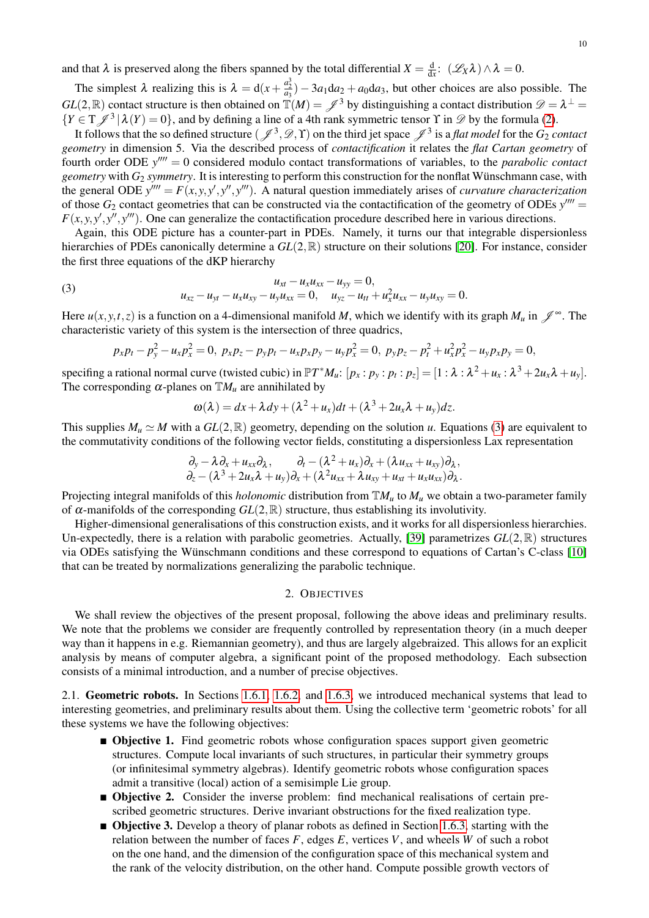and that  $\lambda$  is preserved along the fibers spanned by the total differential  $X = \frac{d}{dx}$ :  $(\mathscr{L}_X \lambda) \wedge \lambda = 0$ .

The simplest  $\lambda$  realizing this is  $\lambda = d(x + \frac{a_2^3}{a_3}) - 3a_1 da_2 + a_0 da_3$ , but other choices are also possible. The  $GL(2,\mathbb{R})$  contact structure is then obtained on  $\mathbb{T}(M) = \mathscr{J}^3$  by distinguishing a contact distribution  $\mathscr{D} = \lambda^{\perp} =$  ${Y \in T \mathcal{J}^3 | \lambda(Y) = 0}$ , and by defining a line of a 4th rank symmetric tensor  $\Upsilon$  in  $\mathcal{D}$  by the formula [\(2\)](#page-8-1).

It follows that the so defined structure  $(\mathcal{J}^3, \mathcal{D}, \Upsilon)$  on the third jet space  $\mathcal{J}^3$  is a *flat model* for the  $G_2$  *contact geometry* in dimension 5. Via the described process of *contactification* it relates the *flat Cartan geometry* of fourth order ODE  $y^{\prime\prime\prime\prime} = 0$  considered modulo contact transformations of variables, to the *parabolic contact geometry* with  $G_2$  *symmetry*. It is interesting to perform this construction for the nonflat Wünschmann case, with the general ODE  $y^{\prime\prime\prime\prime} = F(x, y, y', y^{\prime\prime}, y^{\prime\prime\prime})$ . A natural question immediately arises of *curvature characterization* of those  $G_2$  contact geometries that can be constructed via the contactification of the geometry of ODEs  $y^{\prime\prime\prime\prime}$  $F(x, y, y', y'', y''')$ . One can generalize the contactification procedure described here in various directions.

Again, this ODE picture has a counter-part in PDEs. Namely, it turns our that integrable dispersionless hierarchies of PDEs canonically determine a  $GL(2,\mathbb{R})$  structure on their solutions [\[20\]](#page-16-21). For instance, consider the first three equations of the dKP hierarchy

(3) 
$$
u_{xz} - u_{yt} - u_x u_{xy} = 0,
$$

$$
u_{xz} - u_{yt} - u_x u_{xy} - u_y u_{xx} = 0, \quad u_{yz} - u_{tt} + u_x^2 u_{xx} - u_y u_{xy} = 0.
$$

Here  $u(x, y, t, z)$  is a function on a 4-dimensional manifold *M*, which we identify with its graph  $M_u$  in  $\mathscr{J}^\infty$ . The characteristic variety of this system is the intersection of three quadrics,

<span id="page-9-0"></span>
$$
p_x p_t - p_y^2 - u_x p_x^2 = 0, \ p_x p_z - p_y p_t - u_x p_x p_y - u_y p_x^2 = 0, \ p_y p_z - p_t^2 + u_x^2 p_x^2 - u_y p_x p_y = 0,
$$

specifing a rational normal curve (twisted cubic) in  $\mathbb{P}T^*M_u$ :  $[p_x:p_y:p_t:p_z]=[1:\lambda:\lambda^2+u_x:\lambda^3+2u_x\lambda+u_y]$ . The corresponding  $\alpha$ -planes on  $\mathbb{T}M_u$  are annihilated by

$$
\omega(\lambda) = dx + \lambda dy + (\lambda^2 + u_x)dt + (\lambda^3 + 2u_x\lambda + u_y)dz.
$$

This supplies  $M_u \simeq M$  with a  $GL(2,\mathbb{R})$  geometry, depending on the solution *u*. Equations [\(3\)](#page-9-0) are equivalent to the commutativity conditions of the following vector fields, constituting a dispersionless Lax representation

$$
\partial_y - \lambda \partial_x + u_{xx} \partial_x, \qquad \partial_t - (\lambda^2 + u_x) \partial_x + (\lambda u_{xx} + u_{xy}) \partial_x, \n\partial_z - (\lambda^3 + 2u_x \lambda + u_y) \partial_x + (\lambda^2 u_{xx} + \lambda u_{xy} + u_{xt} + u_x u_{xx}) \partial_x.
$$

Projecting integral manifolds of this *holonomic* distribution from  $\mathbb{T}M_u$  to  $M_u$  we obtain a two-parameter family of  $\alpha$ -manifolds of the corresponding  $GL(2,\mathbb{R})$  structure, thus establishing its involutivity.

Higher-dimensional generalisations of this construction exists, and it works for all dispersionless hierarchies. Un-expectedly, there is a relation with parabolic geometries. Actually, [\[39\]](#page-16-22) parametrizes *GL*(2,R) structures via ODEs satisfying the Wunschmann conditions and these correspond to equations of Cartan's C-class [\[10\]](#page-15-7) ¨ that can be treated by normalizations generalizing the parabolic technique.

# 2. OBJECTIVES

We shall review the objectives of the present proposal, following the above ideas and preliminary results. We note that the problems we consider are frequently controlled by representation theory (in a much deeper way than it happens in e.g. Riemannian geometry), and thus are largely algebraized. This allows for an explicit analysis by means of computer algebra, a significant point of the proposed methodology. Each subsection consists of a minimal introduction, and a number of precise objectives.

<span id="page-9-1"></span>2.1. Geometric robots. In Sections [1.6.1,](#page-5-0) [1.6.2,](#page-6-0) and [1.6.3,](#page-6-1) we introduced mechanical systems that lead to interesting geometries, and preliminary results about them. Using the collective term 'geometric robots' for all these systems we have the following objectives:

- **Objective 1.** Find geometric robots whose configuration spaces support given geometric structures. Compute local invariants of such structures, in particular their symmetry groups (or infinitesimal symmetry algebras). Identify geometric robots whose configuration spaces admit a transitive (local) action of a semisimple Lie group.
- **Objective 2.** Consider the inverse problem: find mechanical realisations of certain prescribed geometric structures. Derive invariant obstructions for the fixed realization type.
- Objective 3. Develop a theory of planar robots as defined in Section [1.6.3,](#page-6-1) starting with the relation between the number of faces  $F$ , edges  $E$ , vertices  $V$ , and wheels  $W$  of such a robot on the one hand, and the dimension of the configuration space of this mechanical system and the rank of the velocity distribution, on the other hand. Compute possible growth vectors of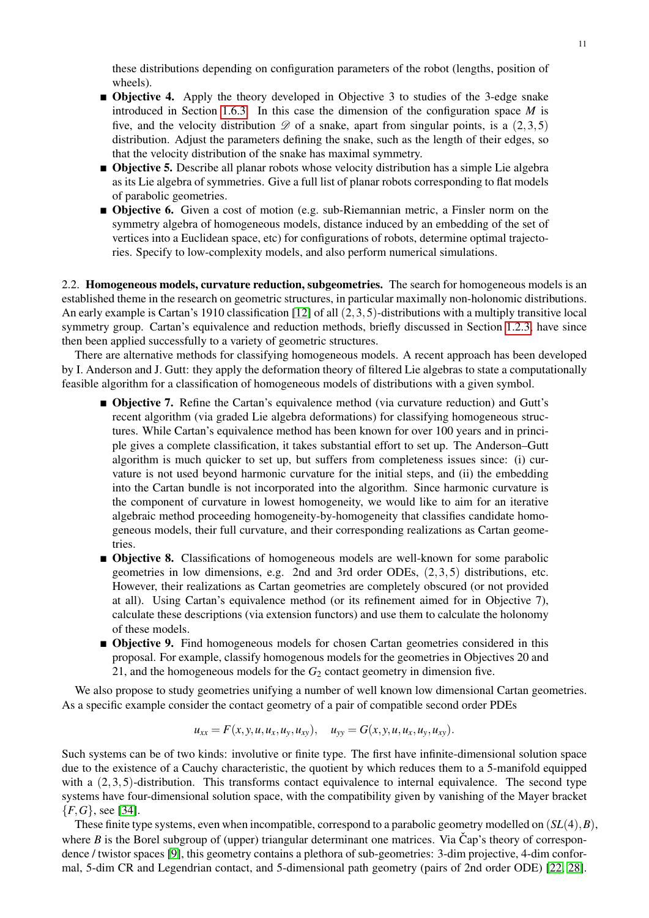these distributions depending on configuration parameters of the robot (lengths, position of wheels).

- **Objective 4.** Apply the theory developed in Objective 3 to studies of the 3-edge snake introduced in Section [1.6.3.](#page-6-1) In this case the dimension of the configuration space *M* is five, and the velocity distribution  $\mathscr D$  of a snake, apart from singular points, is a (2,3,5) distribution. Adjust the parameters defining the snake, such as the length of their edges, so that the velocity distribution of the snake has maximal symmetry.
- **Objective 5.** Describe all planar robots whose velocity distribution has a simple Lie algebra as its Lie algebra of symmetries. Give a full list of planar robots corresponding to flat models of parabolic geometries.
- **Objective 6.** Given a cost of motion (e.g. sub-Riemannian metric, a Finsler norm on the symmetry algebra of homogeneous models, distance induced by an embedding of the set of vertices into a Euclidean space, etc) for configurations of robots, determine optimal trajectories. Specify to low-complexity models, and also perform numerical simulations.

<span id="page-10-0"></span>2.2. **Homogeneous models, curvature reduction, subgeometries.** The search for homogeneous models is an established theme in the research on geometric structures, in particular maximally non-holonomic distributions. An early example is Cartan's 1910 classification [\[12\]](#page-15-8) of all (2,3,5)-distributions with a multiply transitive local symmetry group. Cartan's equivalence and reduction methods, briefly discussed in Section [1.2.3,](#page-2-0) have since then been applied successfully to a variety of geometric structures.

There are alternative methods for classifying homogeneous models. A recent approach has been developed by I. Anderson and J. Gutt: they apply the deformation theory of filtered Lie algebras to state a computationally feasible algorithm for a classification of homogeneous models of distributions with a given symbol.

- **Objective 7.** Refine the Cartan's equivalence method (via curvature reduction) and Gutt's recent algorithm (via graded Lie algebra deformations) for classifying homogeneous structures. While Cartan's equivalence method has been known for over 100 years and in principle gives a complete classification, it takes substantial effort to set up. The Anderson–Gutt algorithm is much quicker to set up, but suffers from completeness issues since: (i) curvature is not used beyond harmonic curvature for the initial steps, and (ii) the embedding into the Cartan bundle is not incorporated into the algorithm. Since harmonic curvature is the component of curvature in lowest homogeneity, we would like to aim for an iterative algebraic method proceeding homogeneity-by-homogeneity that classifies candidate homogeneous models, their full curvature, and their corresponding realizations as Cartan geometries.
- **Objective 8.** Classifications of homogeneous models are well-known for some parabolic geometries in low dimensions, e.g. 2nd and 3rd order ODEs, (2,3,5) distributions, etc. However, their realizations as Cartan geometries are completely obscured (or not provided at all). Using Cartan's equivalence method (or its refinement aimed for in Objective 7), calculate these descriptions (via extension functors) and use them to calculate the holonomy of these models.
- **Objective 9.** Find homogeneous models for chosen Cartan geometries considered in this proposal. For example, classify homogenous models for the geometries in Objectives 20 and 21, and the homogeneous models for the  $G_2$  contact geometry in dimension five.

We also propose to study geometries unifying a number of well known low dimensional Cartan geometries. As a specific example consider the contact geometry of a pair of compatible second order PDEs

$$
u_{xx} = F(x, y, u, u_x, u_y, u_{xy}), \quad u_{yy} = G(x, y, u, u_x, u_y, u_{xy}).
$$

Such systems can be of two kinds: involutive or finite type. The first have infinite-dimensional solution space due to the existence of a Cauchy characteristic, the quotient by which reduces them to a 5-manifold equipped with a (2,3,5)-distribution. This transforms contact equivalence to internal equivalence. The second type systems have four-dimensional solution space, with the compatibility given by vanishing of the Mayer bracket {*F*,*G*}, see [\[34\]](#page-16-23).

These finite type systems, even when incompatible, correspond to a parabolic geometry modelled on (*SL*(4),*B*), where  $B$  is the Borel subgroup of (upper) triangular determinant one matrices. Via Cap's theory of correspondence / twistor spaces [\[9\]](#page-15-9), this geometry contains a plethora of sub-geometries: 3-dim projective, 4-dim conformal, 5-dim CR and Legendrian contact, and 5-dimensional path geometry (pairs of 2nd order ODE) [\[22,](#page-16-24) [28\]](#page-16-3).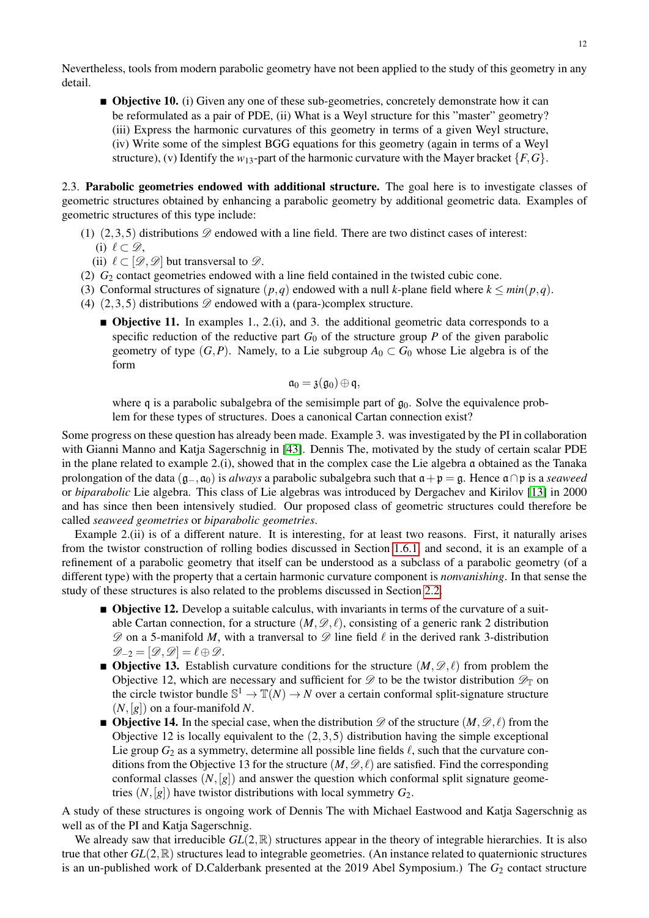Nevertheless, tools from modern parabolic geometry have not been applied to the study of this geometry in any detail.

**Objective 10.** (i) Given any one of these sub-geometries, concretely demonstrate how it can be reformulated as a pair of PDE, (ii) What is a Weyl structure for this "master" geometry? (iii) Express the harmonic curvatures of this geometry in terms of a given Weyl structure, (iv) Write some of the simplest BGG equations for this geometry (again in terms of a Weyl structure), (v) Identify the  $w_{13}$ -part of the harmonic curvature with the Mayer bracket  $\{F, G\}$ .

2.3. Parabolic geometries endowed with additional structure. The goal here is to investigate classes of geometric structures obtained by enhancing a parabolic geometry by additional geometric data. Examples of geometric structures of this type include:

- (1)  $(2,3,5)$  distributions  $\mathscr D$  endowed with a line field. There are two distinct cases of interest: (i)  $\ell \subset \mathscr{D}$ ,
	- (ii)  $\ell \subset [\mathcal{D}, \mathcal{D}]$  but transversal to  $\mathcal{D}$ .
- (2) *G*<sup>2</sup> contact geometries endowed with a line field contained in the twisted cubic cone.
- (3) Conformal structures of signature  $(p,q)$  endowed with a null *k*-plane field where  $k \leq min(p,q)$ .
- (4)  $(2,3,5)$  distributions  $\mathscr{D}$  endowed with a (para-)complex structure.
	- $\blacksquare$  **Objective 11.** In examples 1., 2.(i), and 3. the additional geometric data corresponds to a specific reduction of the reductive part  $G_0$  of the structure group P of the given parabolic geometry of type  $(G, P)$ . Namely, to a Lie subgroup  $A_0 \subset G_0$  whose Lie algebra is of the form

$$
\mathfrak{a}_0 = \mathfrak{z}(\mathfrak{g}_0) \oplus \mathfrak{q},
$$

where q is a parabolic subalgebra of the semisimple part of  $q_0$ . Solve the equivalence problem for these types of structures. Does a canonical Cartan connection exist?

Some progress on these question has already been made. Example 3. was investigated by the PI in collaboration with Gianni Manno and Katja Sagerschnig in [\[43\]](#page-16-25). Dennis The, motivated by the study of certain scalar PDE in the plane related to example 2.(i), showed that in the complex case the Lie algebra a obtained as the Tanaka prolongation of the data (g−,a0) is *always* a parabolic subalgebra such that a+p = g. Hence a∩p is a *seaweed* or *biparabolic* Lie algebra. This class of Lie algebras was introduced by Dergachev and Kirilov [\[13\]](#page-15-10) in 2000 and has since then been intensively studied. Our proposed class of geometric structures could therefore be called *seaweed geometries* or *biparabolic geometries*.

Example 2.(ii) is of a different nature. It is interesting, for at least two reasons. First, it naturally arises from the twistor construction of rolling bodies discussed in Section [1.6.1,](#page-5-0) and second, it is an example of a refinement of a parabolic geometry that itself can be understood as a subclass of a parabolic geometry (of a different type) with the property that a certain harmonic curvature component is *nonvanishing*. In that sense the study of these structures is also related to the problems discussed in Section [2.2.](#page-10-0)

- **Objective 12.** Develop a suitable calculus, with invariants in terms of the curvature of a suitable Cartan connection, for a structure  $(M, \mathscr{D}, \ell)$ , consisting of a generic rank 2 distribution  $\mathscr D$  on a 5-manifold *M*, with a tranversal to  $\mathscr D$  line field  $\ell$  in the derived rank 3-distribution  $\mathscr{D}_{-2} = [\mathscr{D}, \mathscr{D}] = \ell \oplus \mathscr{D}.$
- **Objective 13.** Establish curvature conditions for the structure  $(M, \mathscr{D}, \ell)$  from problem the Objective 12, which are necessary and sufficient for  $\mathscr D$  to be the twistor distribution  $\mathscr D_{\mathbb T}$  on the circle twistor bundle  $\mathbb{S}^1 \to \mathbb{T}(N) \to N$  over a certain conformal split-signature structure  $(N, [g])$  on a four-manifold N.
- **Objective 14.** In the special case, when the distribution  $\mathscr{D}$  of the structure  $(M, \mathscr{D}, \ell)$  from the Objective 12 is locally equivalent to the (2,3,5) distribution having the simple exceptional Lie group  $G_2$  as a symmetry, determine all possible line fields  $\ell$ , such that the curvature conditions from the Objective 13 for the structure  $(M, \mathscr{D}, \ell)$  are satisfied. Find the corresponding conformal classes  $(N,[g])$  and answer the question which conformal split signature geometries  $(N, [g])$  have twistor distributions with local symmetry  $G_2$ .

A study of these structures is ongoing work of Dennis The with Michael Eastwood and Katja Sagerschnig as well as of the PI and Katja Sagerschnig.

We already saw that irreducible  $GL(2,\mathbb{R})$  structures appear in the theory of integrable hierarchies. It is also true that other *GL*(2,R) structures lead to integrable geometries. (An instance related to quaternionic structures is an un-published work of D.Calderbank presented at the 2019 Abel Symposium.) The  $G_2$  contact structure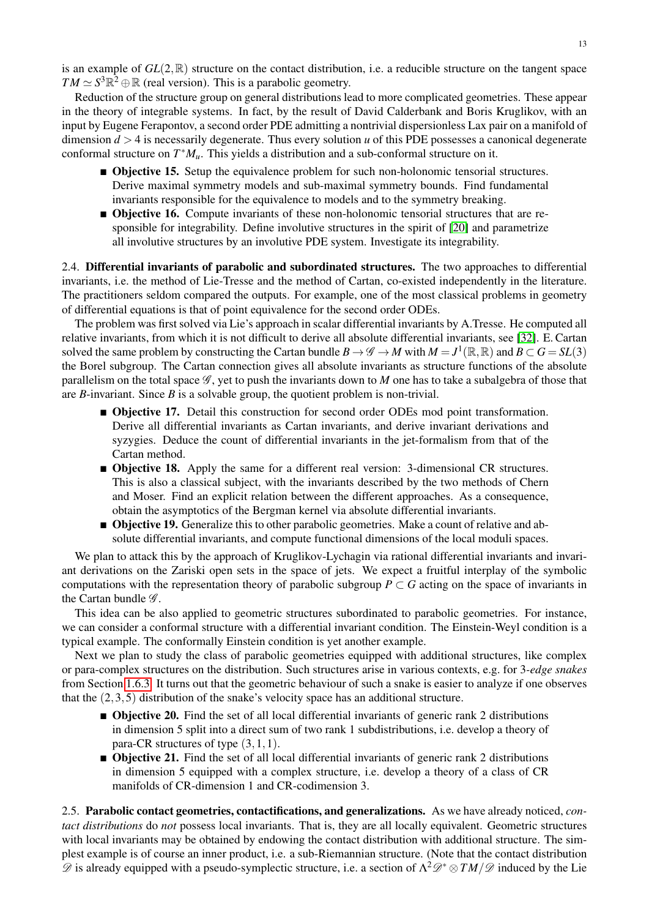is an example of *GL*(2,R) structure on the contact distribution, i.e. a reducible structure on the tangent space  $TM \simeq S^3 \mathbb{R}^2 \oplus \mathbb{R}$  (real version). This is a parabolic geometry.

Reduction of the structure group on general distributions lead to more complicated geometries. These appear in the theory of integrable systems. In fact, by the result of David Calderbank and Boris Kruglikov, with an input by Eugene Ferapontov, a second order PDE admitting a nontrivial dispersionless Lax pair on a manifold of dimension  $d > 4$  is necessarily degenerate. Thus every solution *u* of this PDE possesses a canonical degenerate conformal structure on *T* <sup>∗</sup>*Mu*. This yields a distribution and a sub-conformal structure on it.

- **Objective 15.** Setup the equivalence problem for such non-holonomic tensorial structures. Derive maximal symmetry models and sub-maximal symmetry bounds. Find fundamental invariants responsible for the equivalence to models and to the symmetry breaking.
- **Objective 16.** Compute invariants of these non-holonomic tensorial structures that are responsible for integrability. Define involutive structures in the spirit of [\[20\]](#page-16-21) and parametrize all involutive structures by an involutive PDE system. Investigate its integrability.

2.4. Differential invariants of parabolic and subordinated structures. The two approaches to differential invariants, i.e. the method of Lie-Tresse and the method of Cartan, co-existed independently in the literature. The practitioners seldom compared the outputs. For example, one of the most classical problems in geometry of differential equations is that of point equivalence for the second order ODEs.

The problem was first solved via Lie's approach in scalar differential invariants by A.Tresse. He computed all relative invariants, from which it is not difficult to derive all absolute differential invariants, see [\[32\]](#page-16-26). E. Cartan solved the same problem by constructing the Cartan bundle  $B \to \mathscr{G} \to M$  with  $M = J^1(\mathbb{R}, \mathbb{R})$  and  $B \subset G = SL(3)$ the Borel subgroup. The Cartan connection gives all absolute invariants as structure functions of the absolute parallelism on the total space  $\mathcal{G}$ , yet to push the invariants down to *M* one has to take a subalgebra of those that are *B*-invariant. Since *B* is a solvable group, the quotient problem is non-trivial.

- **Objective 17.** Detail this construction for second order ODEs mod point transformation. Derive all differential invariants as Cartan invariants, and derive invariant derivations and syzygies. Deduce the count of differential invariants in the jet-formalism from that of the Cartan method.
- **Objective 18.** Apply the same for a different real version: 3-dimensional CR structures. This is also a classical subject, with the invariants described by the two methods of Chern and Moser. Find an explicit relation between the different approaches. As a consequence, obtain the asymptotics of the Bergman kernel via absolute differential invariants.
- **Objective 19.** Generalize this to other parabolic geometries. Make a count of relative and absolute differential invariants, and compute functional dimensions of the local moduli spaces.

We plan to attack this by the approach of Kruglikov-Lychagin via rational differential invariants and invariant derivations on the Zariski open sets in the space of jets. We expect a fruitful interplay of the symbolic computations with the representation theory of parabolic subgroup  $P \subset G$  acting on the space of invariants in the Cartan bundle  $\mathscr{G}$ .

This idea can be also applied to geometric structures subordinated to parabolic geometries. For instance, we can consider a conformal structure with a differential invariant condition. The Einstein-Weyl condition is a typical example. The conformally Einstein condition is yet another example.

Next we plan to study the class of parabolic geometries equipped with additional structures, like complex or para-complex structures on the distribution. Such structures arise in various contexts, e.g. for 3*-edge snakes* from Section [1.6.3.](#page-6-1) It turns out that the geometric behaviour of such a snake is easier to analyze if one observes that the (2,3,5) distribution of the snake's velocity space has an additional structure.

- **Differential Distribution Differential invariants of generic rank 2 distributions** in dimension 5 split into a direct sum of two rank 1 subdistributions, i.e. develop a theory of para-CR structures of type (3,1,1).
- **Objective 21.** Find the set of all local differential invariants of generic rank 2 distributions in dimension 5 equipped with a complex structure, i.e. develop a theory of a class of CR manifolds of CR-dimension 1 and CR-codimension 3.

2.5. Parabolic contact geometries, contactifications, and generalizations. As we have already noticed, *contact distributions* do *not* possess local invariants. That is, they are all locally equivalent. Geometric structures with local invariants may be obtained by endowing the contact distribution with additional structure. The simplest example is of course an inner product, i.e. a sub-Riemannian structure. (Note that the contact distribution  $\mathscr D$  is already equipped with a pseudo-symplectic structure, i.e. a section of  $\Lambda^2\mathscr D^*\otimes TM/\mathscr D$  induced by the Lie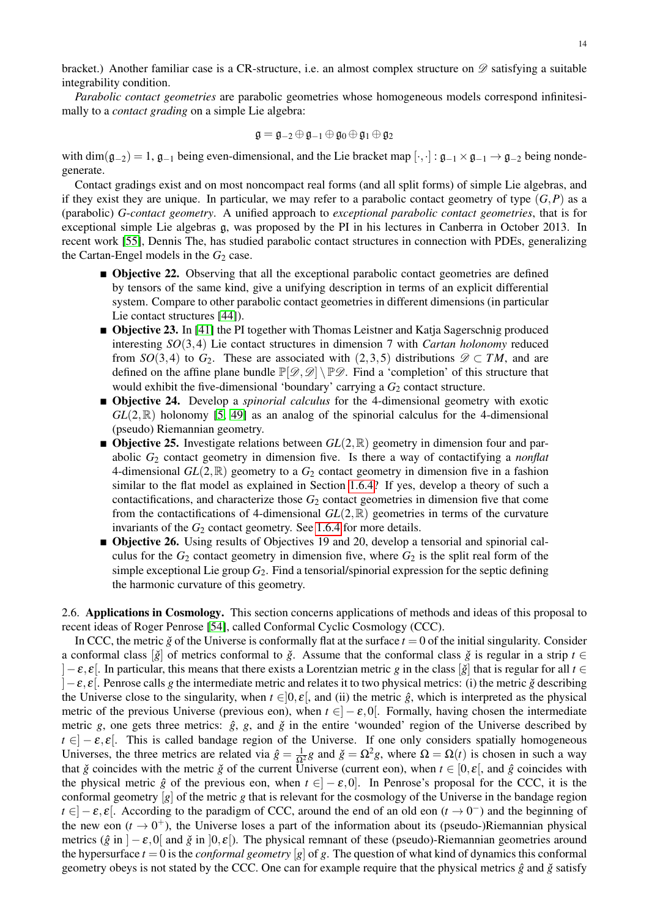bracket.) Another familiar case is a CR-structure, i.e. an almost complex structure on  $\mathscr D$  satisfying a suitable integrability condition.

*Parabolic contact geometries* are parabolic geometries whose homogeneous models correspond infinitesimally to a *contact grading* on a simple Lie algebra:

$$
\mathfrak{g}=\mathfrak{g}_{-2}\oplus\mathfrak{g}_{-1}\oplus\mathfrak{g}_0\oplus\mathfrak{g}_1\oplus\mathfrak{g}_2
$$

with dim( $g_{-2}$ ) = 1,  $g_{-1}$  being even-dimensional, and the Lie bracket map  $[\cdot,\cdot] : g_{-1} \times g_{-1} \to g_{-2}$  being nondegenerate.

Contact gradings exist and on most noncompact real forms (and all split forms) of simple Lie algebras, and if they exist they are unique. In particular, we may refer to a parabolic contact geometry of type  $(G, P)$  as a (parabolic) *G*-*contact geometry*. A unified approach to *exceptional parabolic contact geometries*, that is for exceptional simple Lie algebras g, was proposed by the PI in his lectures in Canberra in October 2013. In recent work [\[55\]](#page-17-11), Dennis The, has studied parabolic contact structures in connection with PDEs, generalizing the Cartan-Engel models in the  $G_2$  case.

- **Objective 22.** Observing that all the exceptional parabolic contact geometries are defined by tensors of the same kind, give a unifying description in terms of an explicit differential system. Compare to other parabolic contact geometries in different dimensions (in particular Lie contact structures [\[44\]](#page-17-12)).
- **Objective 23.** In [\[41\]](#page-16-27) the PI together with Thomas Leistner and Katja Sagerschnig produced interesting *SO*(3,4) Lie contact structures in dimension 7 with *Cartan holonomy* reduced from *SO*(3,4) to *G*<sub>2</sub>. These are associated with (2,3,5) distributions  $\mathscr{D} \subset TM$ , and are defined on the affine plane bundle  $\mathbb{P}[\mathscr{D},\mathscr{D}] \setminus \mathbb{P}\mathscr{D}$ . Find a 'completion' of this structure that would exhibit the five-dimensional 'boundary' carrying a  $G_2$  contact structure.
- Objective 24. Develop a *spinorial calculus* for the 4-dimensional geometry with exotic  $GL(2,\mathbb{R})$  holonomy [\[5,](#page-15-6) [49\]](#page-17-10) as an analog of the spinorial calculus for the 4-dimensional (pseudo) Riemannian geometry.
- **Objective 25.** Investigate relations between  $GL(2,\mathbb{R})$  geometry in dimension four and parabolic *G*<sup>2</sup> contact geometry in dimension five. Is there a way of contactifying a *nonflat* 4-dimensional  $GL(2,\mathbb{R})$  geometry to a  $G_2$  contact geometry in dimension five in a fashion similar to the flat model as explained in Section [1.6.4?](#page-8-2) If yes, develop a theory of such a contactifications, and characterize those  $G_2$  contact geometries in dimension five that come from the contactifications of 4-dimensional  $GL(2,\mathbb{R})$  geometries in terms of the curvature invariants of the *G*<sub>2</sub> contact geometry. See [1.6.4](#page-8-2) for more details.
- Objective 26. Using results of Objectives 19 and 20, develop a tensorial and spinorial calculus for the  $G_2$  contact geometry in dimension five, where  $G_2$  is the split real form of the simple exceptional Lie group *G*2. Find a tensorial/spinorial expression for the septic defining the harmonic curvature of this geometry.

<span id="page-13-0"></span>2.6. Applications in Cosmology. This section concerns applications of methods and ideas of this proposal to recent ideas of Roger Penrose [\[54\]](#page-17-13), called Conformal Cyclic Cosmology (CCC).

In CCC, the metric  $\check{g}$  of the Universe is conformally flat at the surface  $t = 0$  of the initial singularity. Consider a conformal class  $[\check{g}]$  of metrics conformal to  $\check{g}$ . Assume that the conformal class  $\check{g}$  is regular in a strip  $t \in$ ]−ε, ε[. In particular, this means that there exists a Lorentzian metric *g* in the class [*g*ˇ] that is regular for all *t* ∈  $]-\varepsilon, \varepsilon$ . Penrose calls *g* the intermediate metric and relates it to two physical metrics: (i) the metric *ǧ* describing the Universe close to the singularity, when  $t \in ]0, \varepsilon[$ , and (ii) the metric  $\hat{g}$ , which is interpreted as the physical metric of the previous Universe (previous eon), when  $t \in ]-\varepsilon,0[$ . Formally, having chosen the intermediate metric *g*, one gets three metrics:  $\hat{g}$ , *g*, and  $\check{g}$  in the entire 'wounded' region of the Universe described by  $t \in ]-\varepsilon,\varepsilon[$ . This is called bandage region of the Universe. If one only considers spatially homogeneous Universes, the three metrics are related via  $\hat{g} = \frac{1}{\Omega^2} g$  and  $\check{g} = \Omega^2 g$ , where  $\Omega = \Omega(t)$  is chosen in such a way that  $\check{g}$  coincides with the metric  $\check{g}$  of the current Universe (current eon), when  $t \in [0, \varepsilon]$ , and  $\hat{g}$  coincides with the physical metric  $\hat{g}$  of the previous eon, when  $t \in ]-\varepsilon,0]$ . In Penrose's proposal for the CCC, it is the conformal geometry [*g*] of the metric *g* that is relevant for the cosmology of the Universe in the bandage region  $t \in ]-\varepsilon, \varepsilon[$ . According to the paradigm of CCC, around the end of an old eon  $(t \to 0^-)$  and the beginning of the new eon  $(t \to 0^+)$ , the Universe loses a part of the information about its (pseudo-)Riemannian physical metrics ( $\hat{g}$  in ]− $\varepsilon$ ,0[ and  $\check{g}$  in ]0, $\varepsilon$ [). The physical remnant of these (pseudo)-Riemannian geometries around the hypersurface  $t = 0$  is the *conformal geometry* [g] of g. The question of what kind of dynamics this conformal geometry obeys is not stated by the CCC. One can for example require that the physical metrics  $\hat{g}$  and  $\check{g}$  satisfy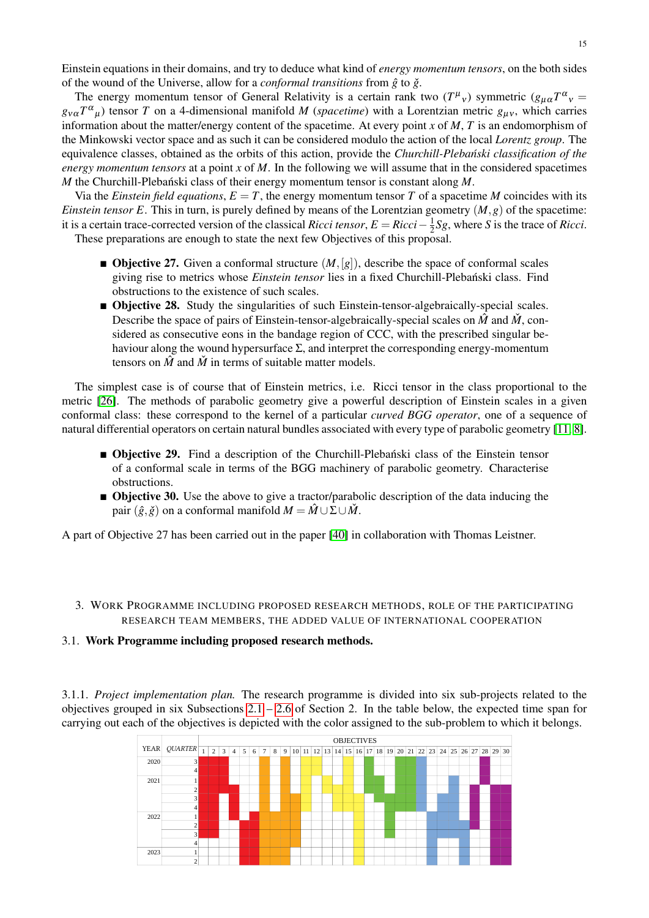Einstein equations in their domains, and try to deduce what kind of *energy momentum tensors*, on the both sides of the wound of the Universe, allow for a *conformal transitions* from  $\hat{g}$  to  $\check{g}$ .

The energy momentum tensor of General Relativity is a certain rank two  $(T^{\mu}{}_{v})$  symmetric  $(g_{\mu\alpha}T^{\alpha}{}_{v}$  =  $g_{v\alpha}T^{\alpha}{}_{\mu}$ ) tensor *T* on a 4-dimensional manifold *M* (*spacetime*) with a Lorentzian metric  $g_{\mu\nu}$ , which carries information about the matter/energy content of the spacetime. At every point *x* of *M*, *T* is an endomorphism of the Minkowski vector space and as such it can be considered modulo the action of the local *Lorentz group*. The equivalence classes, obtained as the orbits of this action, provide the *Churchill-Plebanski classification of the ´ energy momentum tensors* at a point *x* of *M*. In the following we will assume that in the considered spacetimes *M* the Churchill-Plebanski class of their energy momentum tensor is constant along  $M$ .

Via the *Einstein field equations*,  $E = T$ , the energy momentum tensor  $T$  of a spacetime  $M$  coincides with its *Einstein tensor E*. This in turn, is purely defined by means of the Lorentzian geometry  $(M, g)$  of the spacetime: it is a certain trace-corrected version of the classical *Ricci tensor*,  $E = Ricci - \frac{1}{2}$  $\frac{1}{2}Sg$ , where *S* is the trace of *Ricci*. These preparations are enough to state the next few Objectives of this proposal.

- **Objective 27.** Given a conformal structure  $(M, [g])$ , describe the space of conformal scales giving rise to metrics whose *Einstein tensor* lies in a fixed Churchill-Plebanski class. Find ´ obstructions to the existence of such scales.
- **Objective 28.** Study the singularities of such Einstein-tensor-algebraically-special scales. Describe the space of pairs of Einstein-tensor-algebraically-special scales on  $\hat{M}$  and  $\hat{M}$ , considered as consecutive eons in the bandage region of CCC, with the prescribed singular behaviour along the wound hypersurface  $\Sigma$ , and interpret the corresponding energy-momentum tensors on  $\hat{M}$  and  $\hat{M}$  in terms of suitable matter models.

The simplest case is of course that of Einstein metrics, i.e. Ricci tensor in the class proportional to the metric [\[26\]](#page-16-28). The methods of parabolic geometry give a powerful description of Einstein scales in a given conformal class: these correspond to the kernel of a particular *curved BGG operator*, one of a sequence of natural differential operators on certain natural bundles associated with every type of parabolic geometry [\[11,](#page-15-11) [8\]](#page-15-12).

- **Objective 29.** Find a description of the Churchill-Plebanski class of the Einstein tensor of a conformal scale in terms of the BGG machinery of parabolic geometry. Characterise obstructions.
- **Objective 30.** Use the above to give a tractor/parabolic description of the data inducing the pair  $(\hat{g}, \check{g})$  on a conformal manifold  $M = \hat{M} \cup \Sigma \cup \hat{M}$ .

A part of Objective 27 has been carried out in the paper [\[40\]](#page-16-29) in collaboration with Thomas Leistner.

3. WORK PROGRAMME INCLUDING PROPOSED RESEARCH METHODS, ROLE OF THE PARTICIPATING RESEARCH TEAM MEMBERS, THE ADDED VALUE OF INTERNATIONAL COOPERATION

### 3.1. Work Programme including proposed research methods.

3.1.1. *Project implementation plan.* The research programme is divided into six sub-projects related to the objectives grouped in six Subsections  $2.1 - 2.6$  $2.1 - 2.6$  of Section 2. In the table below, the expected time span for carrying out each of the objectives is depicted with the color assigned to the sub-problem to which it belongs.

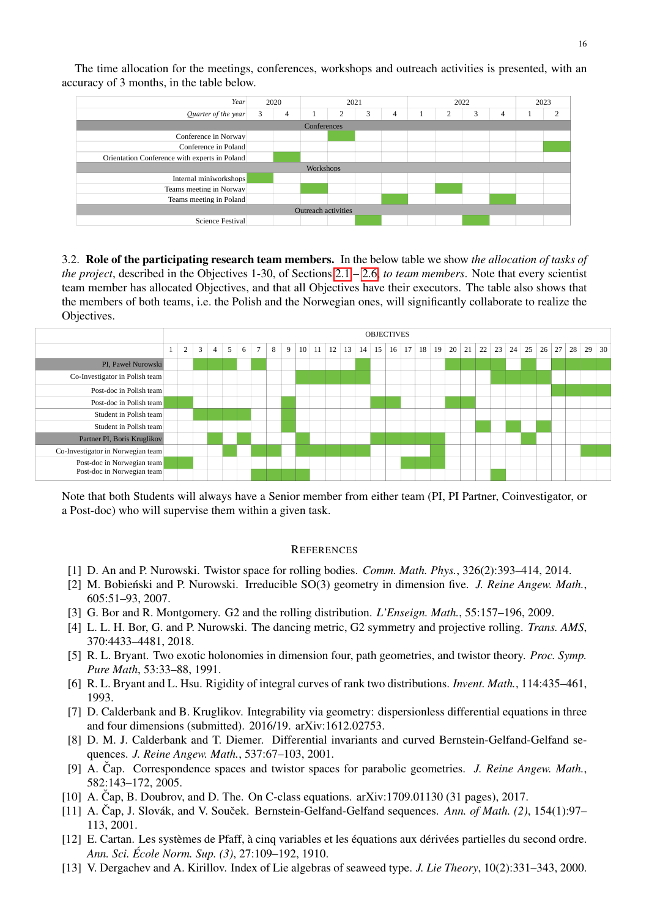| Year                                          |   | 2020               |  | 2021              |        |   |  | 2022 | 2023 |   |  |               |
|-----------------------------------------------|---|--------------------|--|-------------------|--------|---|--|------|------|---|--|---------------|
| Quarter of the year                           | 3 | 4                  |  | <sup>-</sup><br>∠ | ີ<br>3 | 4 |  | 2    | 3    | 4 |  | $\mathcal{L}$ |
|                                               |   | <b>Conferences</b> |  |                   |        |   |  |      |      |   |  |               |
| Conference in Norway                          |   |                    |  |                   |        |   |  |      |      |   |  |               |
| Conference in Poland                          |   |                    |  |                   |        |   |  |      |      |   |  |               |
| Orientation Conference with experts in Poland |   |                    |  |                   |        |   |  |      |      |   |  |               |
| Workshops                                     |   |                    |  |                   |        |   |  |      |      |   |  |               |
| Internal miniworkshops                        |   |                    |  |                   |        |   |  |      |      |   |  |               |
| Teams meeting in Norway                       |   |                    |  |                   |        |   |  |      |      |   |  |               |
| Teams meeting in Poland                       |   |                    |  |                   |        |   |  |      |      |   |  |               |
| Outreach activities                           |   |                    |  |                   |        |   |  |      |      |   |  |               |
| Science Festival                              |   |                    |  |                   |        |   |  |      |      |   |  |               |

The time allocation for the meetings, conferences, workshops and outreach activities is presented, with an accuracy of 3 months, in the table below.

3.2. Role of the participating research team members. In the below table we show *the allocation of tasks of the project*, described in the Objectives 1-30, of Sections [2.1](#page-9-1) – [2.6,](#page-13-0) *to team members*. Note that every scientist team member has allocated Objectives, and that all Objectives have their executors. The table also shows that the members of both teams, i.e. the Polish and the Norwegian ones, will significantly collaborate to realize the Objectives.

|                                   | <b>OBJECTIVES</b> |   |   |   |   |   |   |   |   |                 |    |    |    |    |    |    |                 |    |    |    |    |    |    |    |    |    |    |    |    |    |
|-----------------------------------|-------------------|---|---|---|---|---|---|---|---|-----------------|----|----|----|----|----|----|-----------------|----|----|----|----|----|----|----|----|----|----|----|----|----|
|                                   | $\perp$           | 2 | 3 | 4 | 5 | 6 | 7 | 8 | 9 | 10 <sup>1</sup> | 11 | 12 | 13 | 14 | 15 | 16 | 17 <sup>1</sup> | 18 | 19 | 20 | 21 | 22 | 23 | 24 | 25 | 26 | 27 | 28 | 29 | 30 |
| PI, Paweł Nurowski                |                   |   |   |   |   |   |   |   |   |                 |    |    |    |    |    |    |                 |    |    |    |    |    |    |    |    |    |    |    |    |    |
| Co-Investigator in Polish team    |                   |   |   |   |   |   |   |   |   |                 |    |    |    |    |    |    |                 |    |    |    |    |    |    |    |    |    |    |    |    |    |
| Post-doc in Polish team           |                   |   |   |   |   |   |   |   |   |                 |    |    |    |    |    |    |                 |    |    |    |    |    |    |    |    |    |    |    |    |    |
| Post-doc in Polish team           |                   |   |   |   |   |   |   |   |   |                 |    |    |    |    |    |    |                 |    |    |    |    |    |    |    |    |    |    |    |    |    |
| Student in Polish team            |                   |   |   |   |   |   |   |   |   |                 |    |    |    |    |    |    |                 |    |    |    |    |    |    |    |    |    |    |    |    |    |
| Student in Polish team            |                   |   |   |   |   |   |   |   |   |                 |    |    |    |    |    |    |                 |    |    |    |    |    |    |    |    |    |    |    |    |    |
| Partner PI, Boris Kruglikov       |                   |   |   |   |   |   |   |   |   |                 |    |    |    |    |    |    |                 |    |    |    |    |    |    |    |    |    |    |    |    |    |
| Co-Investigator in Norwegian team |                   |   |   |   |   |   |   |   |   |                 |    |    |    |    |    |    |                 |    |    |    |    |    |    |    |    |    |    |    |    |    |
| Post-doc in Norwegian team        |                   |   |   |   |   |   |   |   |   |                 |    |    |    |    |    |    |                 |    |    |    |    |    |    |    |    |    |    |    |    |    |
| Post-doc in Norwegian team        |                   |   |   |   |   |   |   |   |   |                 |    |    |    |    |    |    |                 |    |    |    |    |    |    |    |    |    |    |    |    |    |

Note that both Students will always have a Senior member from either team (PI, PI Partner, Coinvestigator, or a Post-doc) who will supervise them within a given task.

### **REFERENCES**

- <span id="page-15-0"></span>[1] D. An and P. Nurowski. Twistor space for rolling bodies. *Comm. Math. Phys.*, 326(2):393–414, 2014.
- <span id="page-15-2"></span>[2] M. Bobieński and P. Nurowski. Irreducible SO(3) geometry in dimension five. *J. Reine Angew. Math.*, 605:51–93, 2007.
- <span id="page-15-4"></span>[3] G. Bor and R. Montgomery. G2 and the rolling distribution. *L'Enseign. Math.*, 55:157–196, 2009.
- <span id="page-15-1"></span>[4] L. L. H. Bor, G. and P. Nurowski. The dancing metric, G2 symmetry and projective rolling. *Trans. AMS*, 370:4433–4481, 2018.
- <span id="page-15-6"></span>[5] R. L. Bryant. Two exotic holonomies in dimension four, path geometries, and twistor theory. *Proc. Symp. Pure Math*, 53:33–88, 1991.
- <span id="page-15-3"></span>[6] R. L. Bryant and L. Hsu. Rigidity of integral curves of rank two distributions. *Invent. Math.*, 114:435–461, 1993.
- <span id="page-15-5"></span>[7] D. Calderbank and B. Kruglikov. Integrability via geometry: dispersionless differential equations in three and four dimensions (submitted). 2016/19. arXiv:1612.02753.
- <span id="page-15-12"></span>[8] D. M. J. Calderbank and T. Diemer. Differential invariants and curved Bernstein-Gelfand-Gelfand sequences. *J. Reine Angew. Math.*, 537:67–103, 2001.
- <span id="page-15-9"></span>[9] A. Čap. Correspondence spaces and twistor spaces for parabolic geometries. *J. Reine Angew. Math.*, 582:143–172, 2005.
- <span id="page-15-7"></span>[10] A. Cap, B. Doubrov, and D. The. On C-class equations.  $arXiv:1709.01130$  (31 pages), 2017.
- <span id="page-15-11"></span> $[11]$  A. Čap, J. Slovák, and V. Souček. Bernstein-Gelfand-Gelfand sequences. Ann. of Math.  $(2)$ , 154(1):97– 113, 2001.
- <span id="page-15-8"></span>[12] E. Cartan. Les systèmes de Pfaff, à cinq variables et les équations aux dérivées partielles du second ordre. *Ann. Sci. Ecole Norm. Sup. (3) ´* , 27:109–192, 1910.
- <span id="page-15-10"></span>[13] V. Dergachev and A. Kirillov. Index of Lie algebras of seaweed type. *J. Lie Theory*, 10(2):331–343, 2000.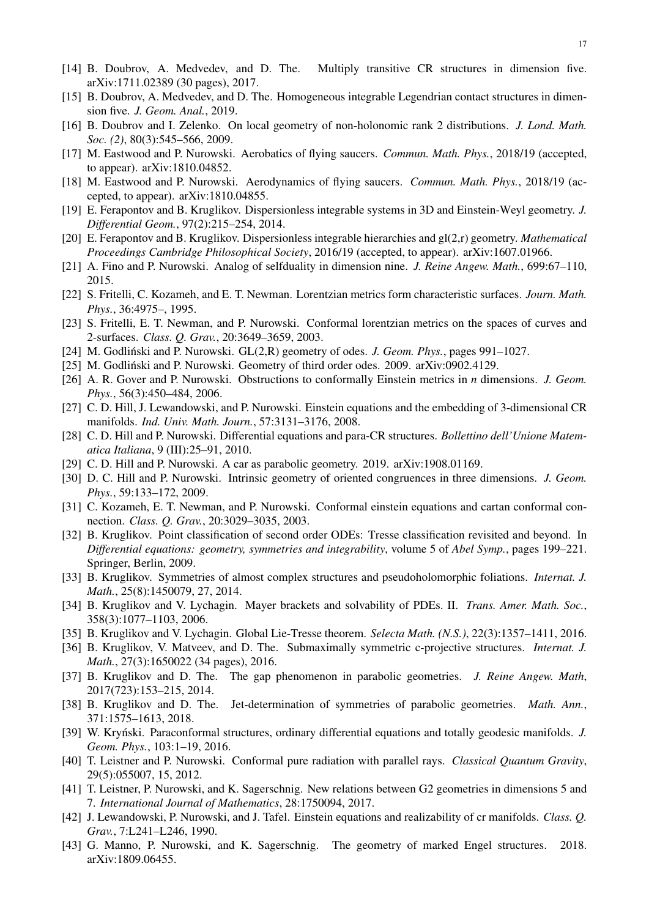- <span id="page-16-16"></span>[14] B. Doubrov, A. Medvedev, and D. The. Multiply transitive CR structures in dimension five. arXiv:1711.02389 (30 pages), 2017.
- <span id="page-16-17"></span>[15] B. Doubrov, A. Medvedev, and D. The. Homogeneous integrable Legendrian contact structures in dimension five. *J. Geom. Anal.*, 2019.
- <span id="page-16-5"></span>[16] B. Doubrov and I. Zelenko. On local geometry of non-holonomic rank 2 distributions. *J. Lond. Math. Soc. (2)*, 80(3):545–566, 2009.
- <span id="page-16-6"></span>[17] M. Eastwood and P. Nurowski. Aerobatics of flying saucers. *Commun. Math. Phys.*, 2018/19 (accepted, to appear). arXiv:1810.04852.
- <span id="page-16-7"></span>[18] M. Eastwood and P. Nurowski. Aerodynamics of flying saucers. *Commun. Math. Phys.*, 2018/19 (accepted, to appear). arXiv:1810.04855.
- <span id="page-16-18"></span>[19] E. Ferapontov and B. Kruglikov. Dispersionless integrable systems in 3D and Einstein-Weyl geometry. *J. Differential Geom.*, 97(2):215–254, 2014.
- <span id="page-16-21"></span>[20] E. Ferapontov and B. Kruglikov. Dispersionless integrable hierarchies and gl(2,r) geometry. *Mathematical Proceedings Cambridge Philosophical Society*, 2016/19 (accepted, to appear). arXiv:1607.01966.
- <span id="page-16-12"></span>[21] A. Fino and P. Nurowski. Analog of selfduality in dimension nine. *J. Reine Angew. Math.*, 699:67–110, 2015.
- <span id="page-16-24"></span>[22] S. Fritelli, C. Kozameh, and E. T. Newman. Lorentzian metrics form characteristic surfaces. *Journ. Math. Phys.*, 36:4975–, 1995.
- <span id="page-16-10"></span>[23] S. Fritelli, E. T. Newman, and P. Nurowski. Conformal lorentzian metrics on the spaces of curves and 2-surfaces. *Class. Q. Grav.*, 20:3649–3659, 2003.
- <span id="page-16-2"></span>[24] M. Godliński and P. Nurowski. GL(2,R) geometry of odes. *J. Geom. Phys.*, pages 991–1027.
- <span id="page-16-1"></span>[25] M. Godlinski and P. Nurowski. Geometry of third order odes. 2009. arXiv:0902.4129. ´
- <span id="page-16-28"></span>[26] A. R. Gover and P. Nurowski. Obstructions to conformally Einstein metrics in *n* dimensions. *J. Geom. Phys.*, 56(3):450–484, 2006.
- <span id="page-16-9"></span>[27] C. D. Hill, J. Lewandowski, and P. Nurowski. Einstein equations and the embedding of 3-dimensional CR manifolds. *Ind. Univ. Math. Journ.*, 57:3131–3176, 2008.
- <span id="page-16-3"></span>[28] C. D. Hill and P. Nurowski. Differential equations and para-CR structures. *Bollettino dell'Unione Matematica Italiana*, 9 (III):25–91, 2010.
- <span id="page-16-19"></span>[29] C. D. Hill and P. Nurowski. A car as parabolic geometry. 2019. arXiv:1908.01169.
- <span id="page-16-0"></span>[30] D. C. Hill and P. Nurowski. Intrinsic geometry of oriented congruences in three dimensions. *J. Geom. Phys.*, 59:133–172, 2009.
- <span id="page-16-11"></span>[31] C. Kozameh, E. T. Newman, and P. Nurowski. Conformal einstein equations and cartan conformal connection. *Class. Q. Grav.*, 20:3029–3035, 2003.
- <span id="page-16-26"></span>[32] B. Kruglikov. Point classification of second order ODEs: Tresse classification revisited and beyond. In *Differential equations: geometry, symmetries and integrability*, volume 5 of *Abel Symp.*, pages 199–221. Springer, Berlin, 2009.
- <span id="page-16-20"></span>[33] B. Kruglikov. Symmetries of almost complex structures and pseudoholomorphic foliations. *Internat. J. Math.*, 25(8):1450079, 27, 2014.
- <span id="page-16-23"></span>[34] B. Kruglikov and V. Lychagin. Mayer brackets and solvability of PDEs. II. *Trans. Amer. Math. Soc.*, 358(3):1077–1103, 2006.
- <span id="page-16-4"></span>[35] B. Kruglikov and V. Lychagin. Global Lie-Tresse theorem. *Selecta Math. (N.S.)*, 22(3):1357–1411, 2016.
- <span id="page-16-14"></span>[36] B. Kruglikov, V. Matveev, and D. The. Submaximally symmetric c-projective structures. *Internat. J. Math.*, 27(3):1650022 (34 pages), 2016.
- <span id="page-16-13"></span>[37] B. Kruglikov and D. The. The gap phenomenon in parabolic geometries. *J. Reine Angew. Math*, 2017(723):153–215, 2014.
- <span id="page-16-15"></span>[38] B. Kruglikov and D. The. Jet-determination of symmetries of parabolic geometries. *Math. Ann.*, 371:1575–1613, 2018.
- <span id="page-16-22"></span>[39] W. Krynski. Paraconformal structures, ordinary differential equations and totally geodesic manifolds. *J. Geom. Phys.*, 103:1–19, 2016.
- <span id="page-16-29"></span>[40] T. Leistner and P. Nurowski. Conformal pure radiation with parallel rays. *Classical Quantum Gravity*, 29(5):055007, 15, 2012.
- <span id="page-16-27"></span>[41] T. Leistner, P. Nurowski, and K. Sagerschnig. New relations between G2 geometries in dimensions 5 and 7. *International Journal of Mathematics*, 28:1750094, 2017.
- <span id="page-16-8"></span>[42] J. Lewandowski, P. Nurowski, and J. Tafel. Einstein equations and realizability of cr manifolds. *Class. Q. Grav.*, 7:L241–L246, 1990.
- <span id="page-16-25"></span>[43] G. Manno, P. Nurowski, and K. Sagerschnig. The geometry of marked Engel structures. 2018. arXiv:1809.06455.